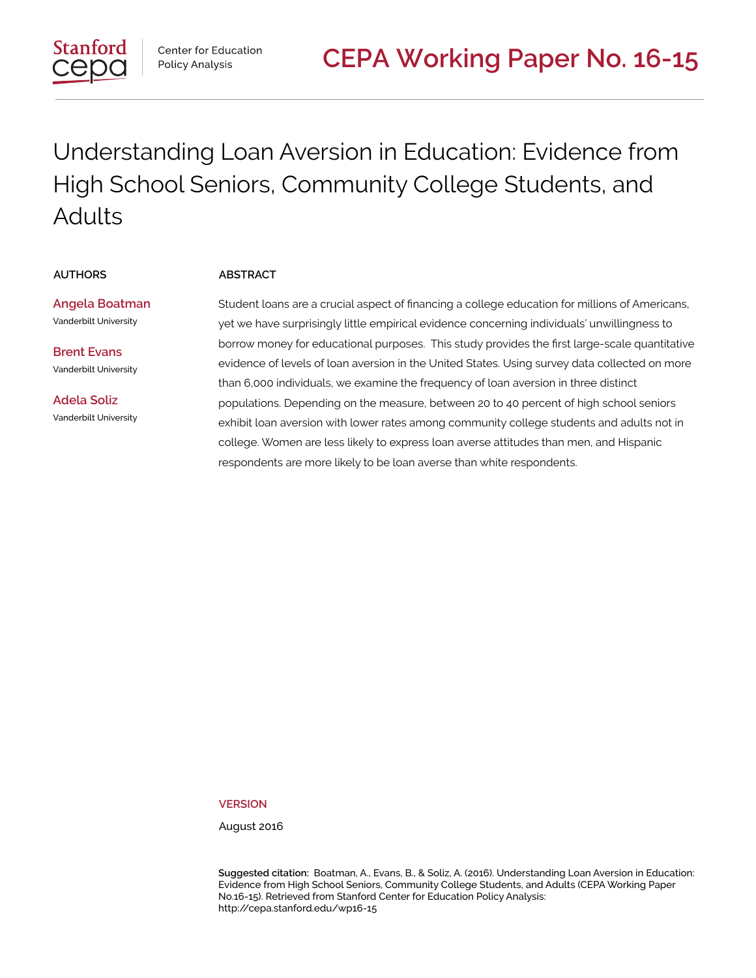

Center for Education Policy Analysis

# Understanding Loan Aversion in Education: Evidence from High School Seniors, Community College Students, and Adults

#### **AUTHORS ABSTRACT**

**Angela Boatman** Vanderbilt University

**Brent Evans** Vanderbilt University

**Adela Soliz** Vanderbilt University Student loans are a crucial aspect of financing a college education for millions of Americans, yet we have surprisingly little empirical evidence concerning individuals' unwillingness to borrow money for educational purposes. This study provides the first large-scale quantitative evidence of levels of loan aversion in the United States. Using survey data collected on more than 6,000 individuals, we examine the frequency of loan aversion in three distinct populations. Depending on the measure, between 20 to 40 percent of high school seniors exhibit loan aversion with lower rates among community college students and adults not in college. Women are less likely to express loan averse attitudes than men, and Hispanic respondents are more likely to be loan averse than white respondents.

**VERSION**

August 2016

**Suggested citation:** Boatman, A., Evans, B., & Soliz, A. (2016). Understanding Loan Aversion in Education: Evidence from High School Seniors, Community College Students, and Adults (CEPA Working Paper No.16-15). Retrieved from Stanford Center for Education Policy Analysis: http://cepa.stanford.edu/wp16-15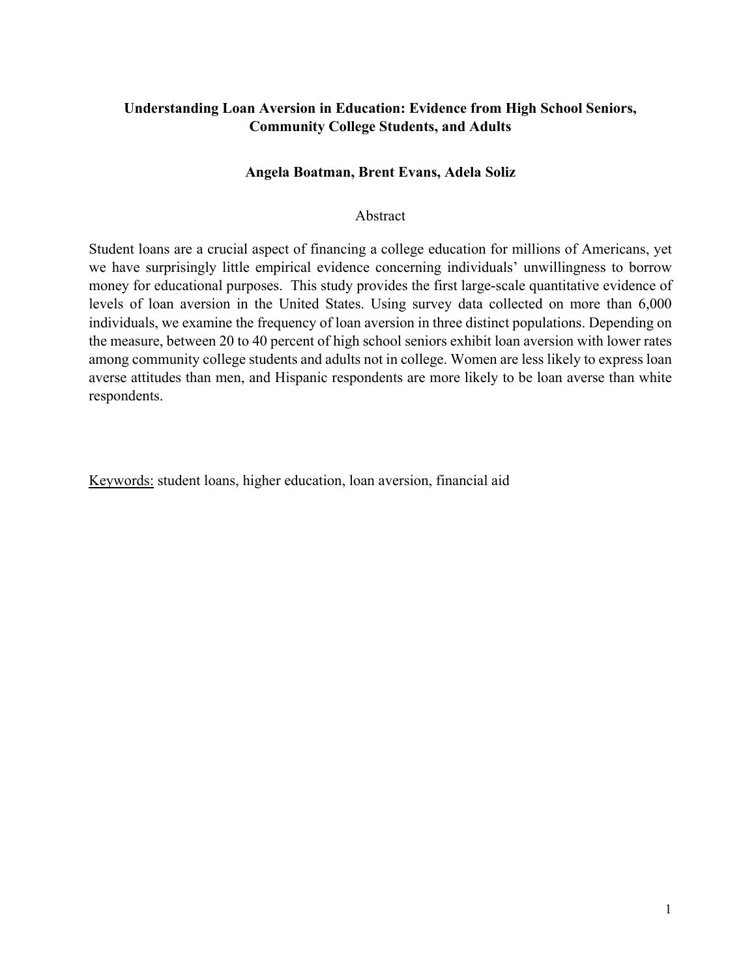# **Understanding Loan Aversion in Education: Evidence from High School Seniors, Community College Students, and Adults**

# **Angela Boatman, Brent Evans, Adela Soliz**

# Abstract

Student loans are a crucial aspect of financing a college education for millions of Americans, yet we have surprisingly little empirical evidence concerning individuals' unwillingness to borrow money for educational purposes. This study provides the first large-scale quantitative evidence of levels of loan aversion in the United States. Using survey data collected on more than 6,000 individuals, we examine the frequency of loan aversion in three distinct populations. Depending on the measure, between 20 to 40 percent of high school seniors exhibit loan aversion with lower rates among community college students and adults not in college. Women are less likely to express loan averse attitudes than men, and Hispanic respondents are more likely to be loan averse than white respondents.

Keywords: student loans, higher education, loan aversion, financial aid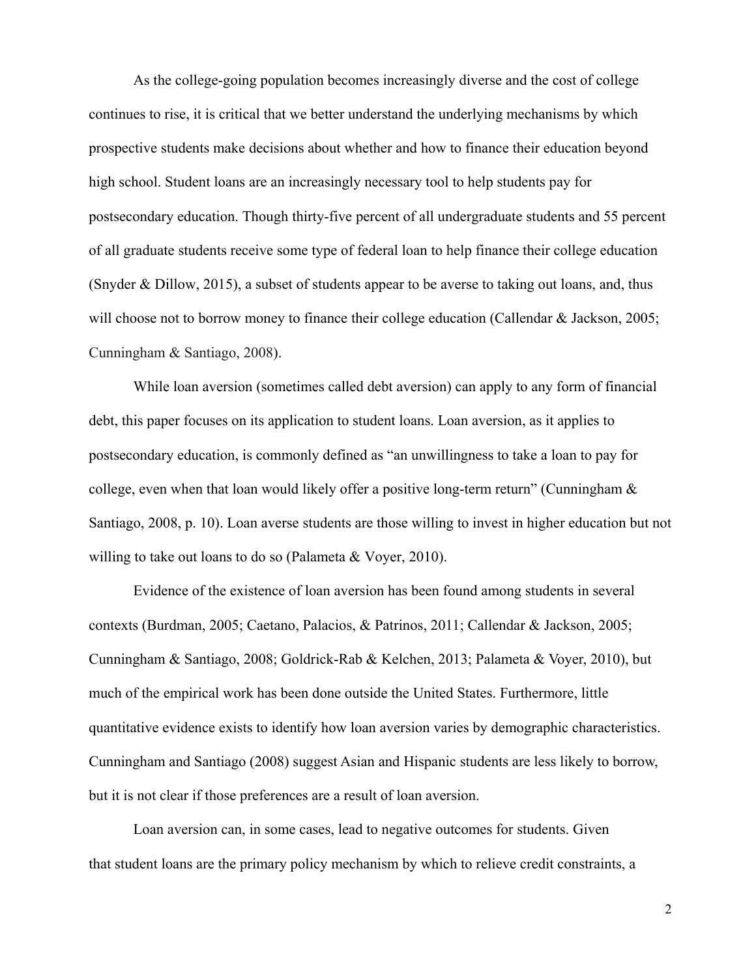As the college-going population becomes increasingly diverse and the cost of college continues to rise, it is critical that we better understand the underlying mechanisms by which prospective students make decisions about whether and how to finance their education beyond high school. Student loans are an increasingly necessary tool to help students pay for postsecondary education. Though thirty-five percent of all undergraduate students and 55 percent of all graduate students receive some type of federal loan to help finance their college education (Snyder & Dillow, 2015), a subset of students appear to be averse to taking out loans, and, thus will choose not to borrow money to finance their college education (Callendar & Jackson, 2005; Cunningham & Santiago, 2008).

While loan aversion (sometimes called debt aversion) can apply to any form of financial debt, this paper focuses on its application to student loans. Loan aversion, as it applies to postsecondary education, is commonly defined as "an unwillingness to take a loan to pay for college, even when that loan would likely offer a positive long-term return" (Cunningham & Santiago, 2008, p. 10). Loan averse students are those willing to invest in higher education but not willing to take out loans to do so (Palameta & Voyer, 2010).

Evidence of the existence of loan aversion has been found among students in several contexts (Burdman, 2005; Caetano, Palacios, & Patrinos, 2011; Callendar & Jackson, 2005; Cunningham & Santiago, 2008; Goldrick-Rab & Kelchen, 2013; Palameta & Voyer, 2010), but much of the empirical work has been done outside the United States. Furthermore, little quantitative evidence exists to identify how loan aversion varies by demographic characteristics. Cunningham and Santiago (2008) suggest Asian and Hispanic students are less likely to borrow, but it is not clear if those preferences are a result of loan aversion.

Loan aversion can, in some cases, lead to negative outcomes for students. Given that student loans are the primary policy mechanism by which to relieve credit constraints, a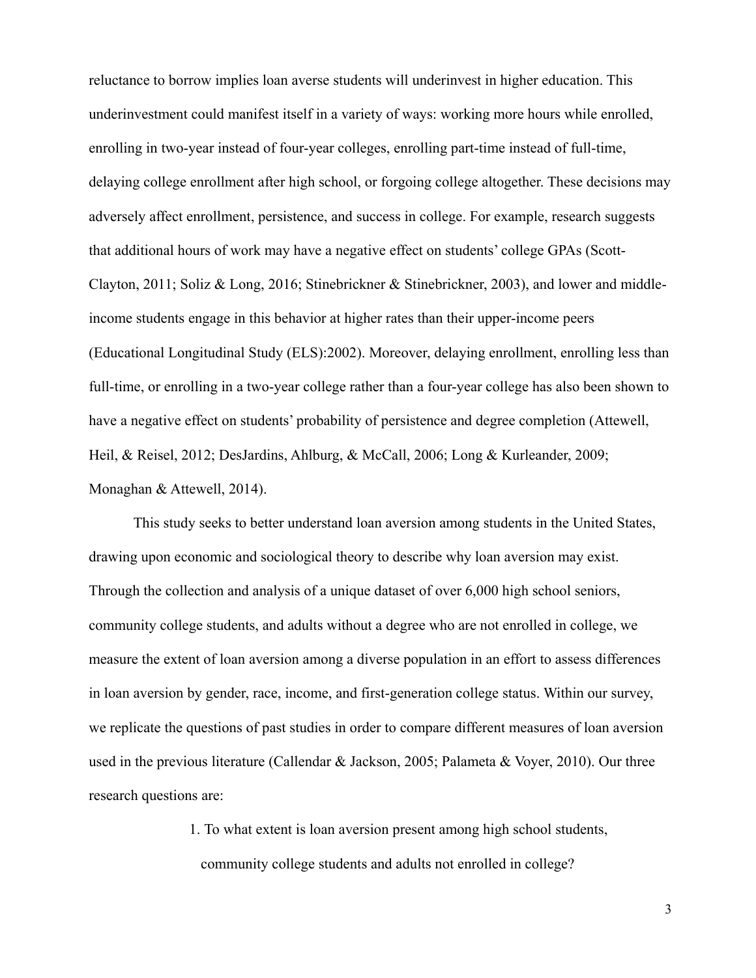reluctance to borrow implies loan averse students will underinvest in higher education. This underinvestment could manifest itself in a variety of ways: working more hours while enrolled, enrolling in two-year instead of four-year colleges, enrolling part-time instead of full-time, delaying college enrollment after high school, or forgoing college altogether. These decisions may adversely affect enrollment, persistence, and success in college. For example, research suggests that additional hours of work may have a negative effect on students' college GPAs (Scott-Clayton, 2011; Soliz & Long, 2016; Stinebrickner & Stinebrickner, 2003), and lower and middleincome students engage in this behavior at higher rates than their upper-income peers (Educational Longitudinal Study (ELS):2002). Moreover, delaying enrollment, enrolling less than full-time, or enrolling in a two-year college rather than a four-year college has also been shown to have a negative effect on students' probability of persistence and degree completion (Attewell, Heil, & Reisel, 2012; DesJardins, Ahlburg, & McCall, 2006; Long & Kurleander, 2009; Monaghan & Attewell, 2014).

This study seeks to better understand loan aversion among students in the United States, drawing upon economic and sociological theory to describe why loan aversion may exist. Through the collection and analysis of a unique dataset of over 6,000 high school seniors, community college students, and adults without a degree who are not enrolled in college, we measure the extent of loan aversion among a diverse population in an effort to assess differences in loan aversion by gender, race, income, and first-generation college status. Within our survey, we replicate the questions of past studies in order to compare different measures of loan aversion used in the previous literature (Callendar & Jackson, 2005; Palameta & Voyer, 2010). Our three research questions are:

> 1. To what extent is loan aversion present among high school students, community college students and adults not enrolled in college?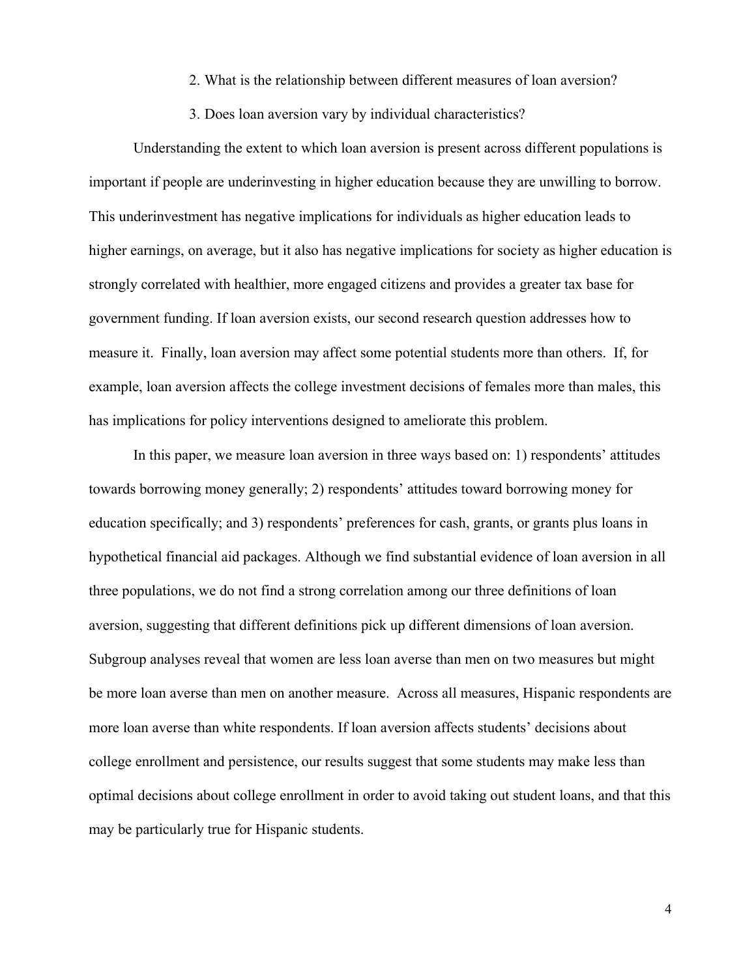- 2. What is the relationship between different measures of loan aversion?
- 3. Does loan aversion vary by individual characteristics?

Understanding the extent to which loan aversion is present across different populations is important if people are underinvesting in higher education because they are unwilling to borrow. This underinvestment has negative implications for individuals as higher education leads to higher earnings, on average, but it also has negative implications for society as higher education is strongly correlated with healthier, more engaged citizens and provides a greater tax base for government funding. If loan aversion exists, our second research question addresses how to measure it. Finally, loan aversion may affect some potential students more than others. If, for example, loan aversion affects the college investment decisions of females more than males, this has implications for policy interventions designed to ameliorate this problem.

In this paper, we measure loan aversion in three ways based on: 1) respondents' attitudes towards borrowing money generally; 2) respondents' attitudes toward borrowing money for education specifically; and 3) respondents' preferences for cash, grants, or grants plus loans in hypothetical financial aid packages. Although we find substantial evidence of loan aversion in all three populations, we do not find a strong correlation among our three definitions of loan aversion, suggesting that different definitions pick up different dimensions of loan aversion. Subgroup analyses reveal that women are less loan averse than men on two measures but might be more loan averse than men on another measure. Across all measures, Hispanic respondents are more loan averse than white respondents. If loan aversion affects students' decisions about college enrollment and persistence, our results suggest that some students may make less than optimal decisions about college enrollment in order to avoid taking out student loans, and that this may be particularly true for Hispanic students.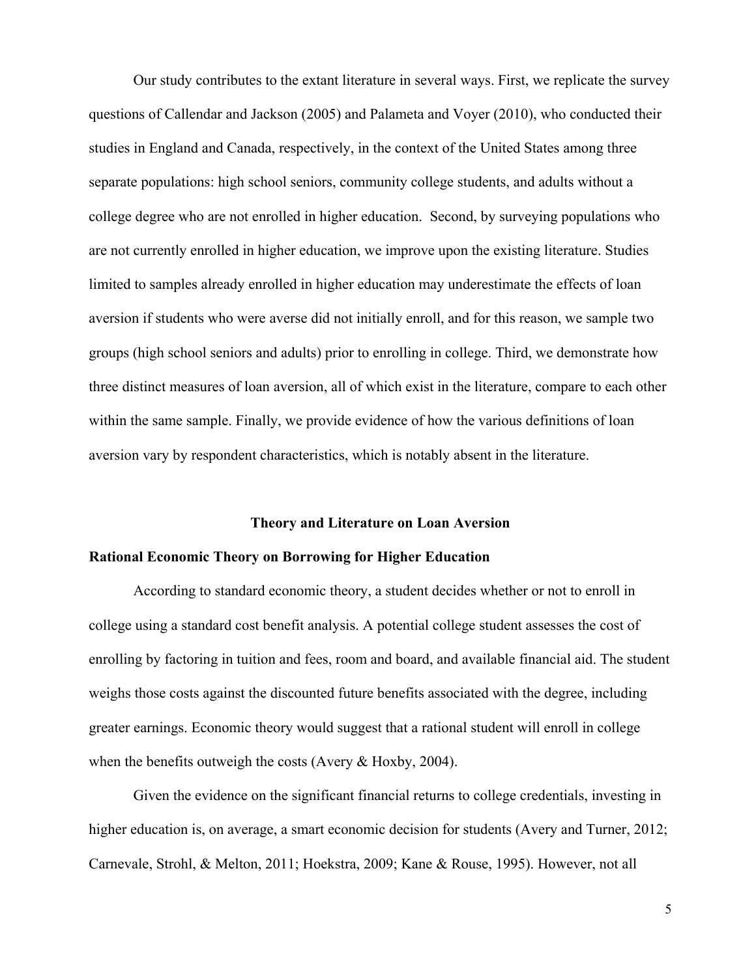Our study contributes to the extant literature in several ways. First, we replicate the survey questions of Callendar and Jackson (2005) and Palameta and Voyer (2010), who conducted their studies in England and Canada, respectively, in the context of the United States among three separate populations: high school seniors, community college students, and adults without a college degree who are not enrolled in higher education. Second, by surveying populations who are not currently enrolled in higher education, we improve upon the existing literature. Studies limited to samples already enrolled in higher education may underestimate the effects of loan aversion if students who were averse did not initially enroll, and for this reason, we sample two groups (high school seniors and adults) prior to enrolling in college. Third, we demonstrate how three distinct measures of loan aversion, all of which exist in the literature, compare to each other within the same sample. Finally, we provide evidence of how the various definitions of loan aversion vary by respondent characteristics, which is notably absent in the literature.

#### **Theory and Literature on Loan Aversion**

# **Rational Economic Theory on Borrowing for Higher Education**

According to standard economic theory, a student decides whether or not to enroll in college using a standard cost benefit analysis. A potential college student assesses the cost of enrolling by factoring in tuition and fees, room and board, and available financial aid. The student weighs those costs against the discounted future benefits associated with the degree, including greater earnings. Economic theory would suggest that a rational student will enroll in college when the benefits outweigh the costs (Avery & Hoxby, 2004).

Given the evidence on the significant financial returns to college credentials, investing in higher education is, on average, a smart economic decision for students (Avery and Turner, 2012; Carnevale, Strohl, & Melton, 2011; Hoekstra, 2009; Kane & Rouse, 1995). However, not all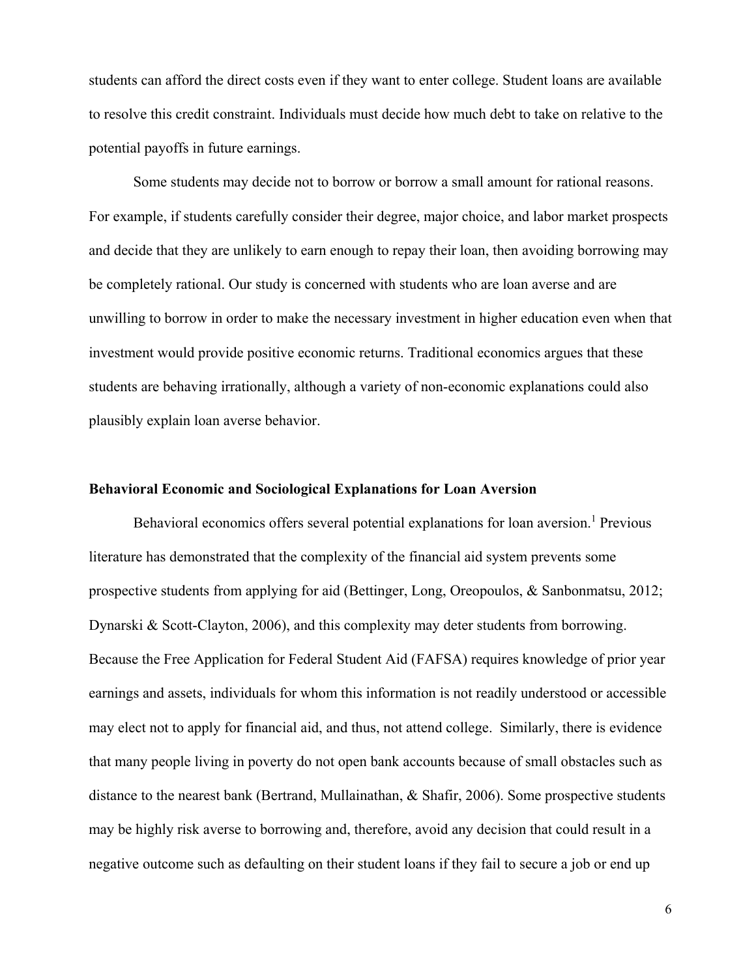students can afford the direct costs even if they want to enter college. Student loans are available to resolve this credit constraint. Individuals must decide how much debt to take on relative to the potential payoffs in future earnings.

Some students may decide not to borrow or borrow a small amount for rational reasons. For example, if students carefully consider their degree, major choice, and labor market prospects and decide that they are unlikely to earn enough to repay their loan, then avoiding borrowing may be completely rational. Our study is concerned with students who are loan averse and are unwilling to borrow in order to make the necessary investment in higher education even when that investment would provide positive economic returns. Traditional economics argues that these students are behaving irrationally, although a variety of non-economic explanations could also plausibly explain loan averse behavior.

#### **Behavioral Economic and Sociological Explanations for Loan Aversion**

Behavioral economics offers several potential explanations for loan aversion.<sup>1</sup> Previous literature has demonstrated that the complexity of the financial aid system prevents some prospective students from applying for aid (Bettinger, Long, Oreopoulos, & Sanbonmatsu, 2012; Dynarski & Scott-Clayton, 2006), and this complexity may deter students from borrowing. Because the Free Application for Federal Student Aid (FAFSA) requires knowledge of prior year earnings and assets, individuals for whom this information is not readily understood or accessible may elect not to apply for financial aid, and thus, not attend college. Similarly, there is evidence that many people living in poverty do not open bank accounts because of small obstacles such as distance to the nearest bank (Bertrand, Mullainathan, & Shafir, 2006). Some prospective students may be highly risk averse to borrowing and, therefore, avoid any decision that could result in a negative outcome such as defaulting on their student loans if they fail to secure a job or end up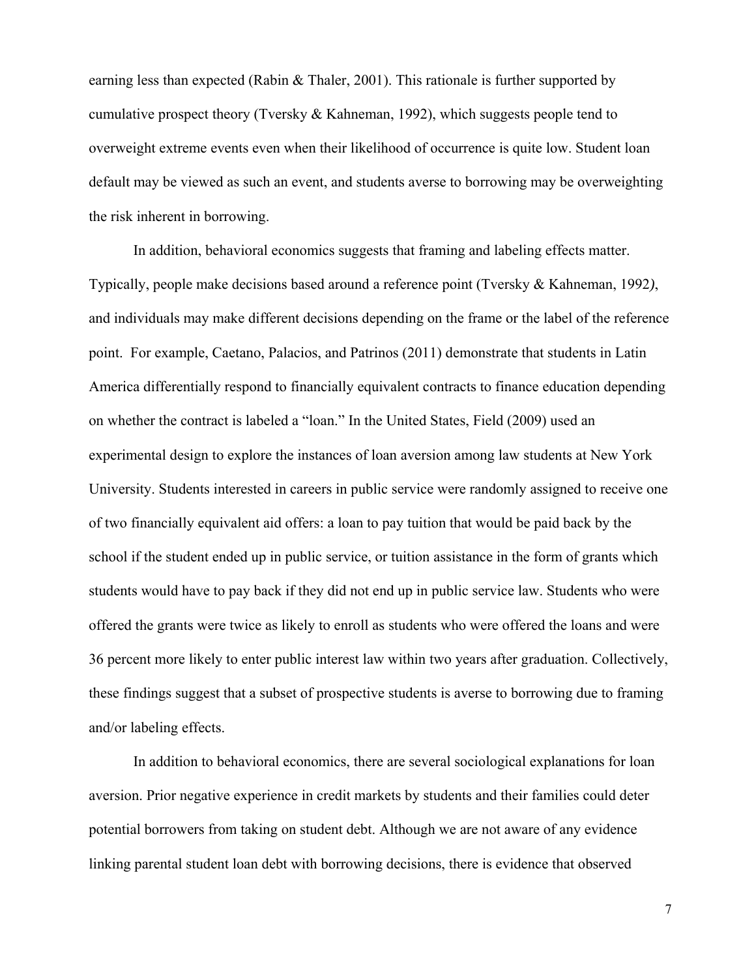earning less than expected (Rabin & Thaler, 2001). This rationale is further supported by cumulative prospect theory (Tversky & Kahneman, 1992), which suggests people tend to overweight extreme events even when their likelihood of occurrence is quite low. Student loan default may be viewed as such an event, and students averse to borrowing may be overweighting the risk inherent in borrowing.

In addition, behavioral economics suggests that framing and labeling effects matter. Typically, people make decisions based around a reference point (Tversky & Kahneman, 1992*)*, and individuals may make different decisions depending on the frame or the label of the reference point. For example, Caetano, Palacios, and Patrinos (2011) demonstrate that students in Latin America differentially respond to financially equivalent contracts to finance education depending on whether the contract is labeled a "loan." In the United States, Field (2009) used an experimental design to explore the instances of loan aversion among law students at New York University. Students interested in careers in public service were randomly assigned to receive one of two financially equivalent aid offers: a loan to pay tuition that would be paid back by the school if the student ended up in public service, or tuition assistance in the form of grants which students would have to pay back if they did not end up in public service law. Students who were offered the grants were twice as likely to enroll as students who were offered the loans and were 36 percent more likely to enter public interest law within two years after graduation. Collectively, these findings suggest that a subset of prospective students is averse to borrowing due to framing and/or labeling effects.

In addition to behavioral economics, there are several sociological explanations for loan aversion. Prior negative experience in credit markets by students and their families could deter potential borrowers from taking on student debt. Although we are not aware of any evidence linking parental student loan debt with borrowing decisions, there is evidence that observed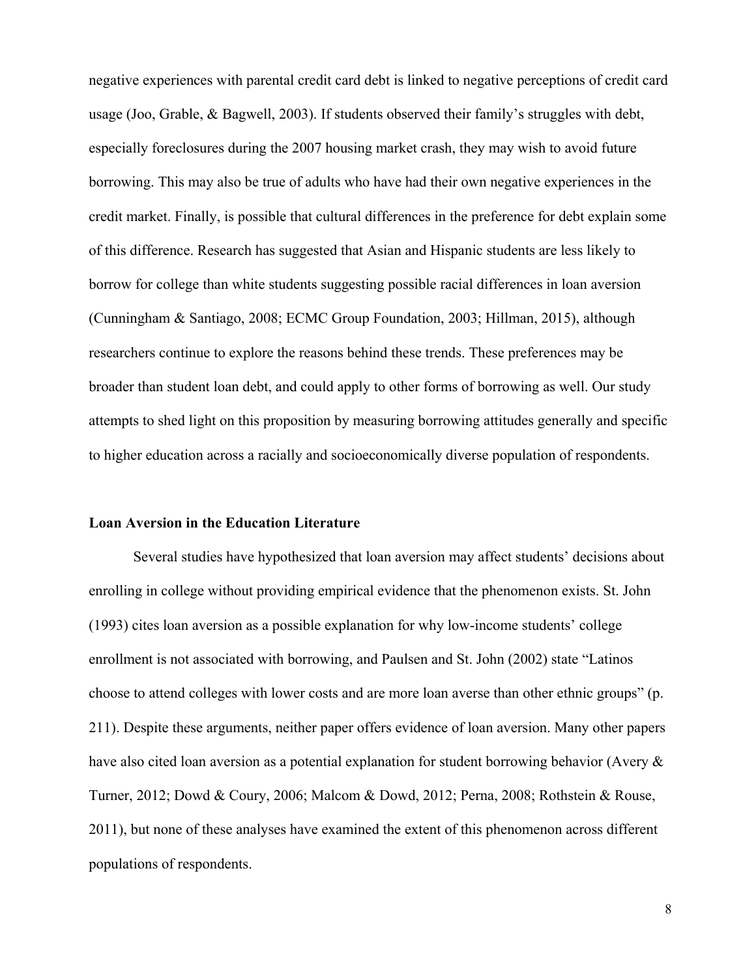negative experiences with parental credit card debt is linked to negative perceptions of credit card usage (Joo, Grable, & Bagwell, 2003). If students observed their family's struggles with debt, especially foreclosures during the 2007 housing market crash, they may wish to avoid future borrowing. This may also be true of adults who have had their own negative experiences in the credit market. Finally, is possible that cultural differences in the preference for debt explain some of this difference. Research has suggested that Asian and Hispanic students are less likely to borrow for college than white students suggesting possible racial differences in loan aversion (Cunningham & Santiago, 2008; ECMC Group Foundation, 2003; Hillman, 2015), although researchers continue to explore the reasons behind these trends. These preferences may be broader than student loan debt, and could apply to other forms of borrowing as well. Our study attempts to shed light on this proposition by measuring borrowing attitudes generally and specific to higher education across a racially and socioeconomically diverse population of respondents.

# **Loan Aversion in the Education Literature**

 Several studies have hypothesized that loan aversion may affect students' decisions about enrolling in college without providing empirical evidence that the phenomenon exists. St. John (1993) cites loan aversion as a possible explanation for why low-income students' college enrollment is not associated with borrowing, and Paulsen and St. John (2002) state "Latinos choose to attend colleges with lower costs and are more loan averse than other ethnic groups" (p. 211). Despite these arguments, neither paper offers evidence of loan aversion. Many other papers have also cited loan aversion as a potential explanation for student borrowing behavior (Avery & Turner, 2012; Dowd & Coury, 2006; Malcom & Dowd, 2012; Perna, 2008; Rothstein & Rouse, 2011), but none of these analyses have examined the extent of this phenomenon across different populations of respondents.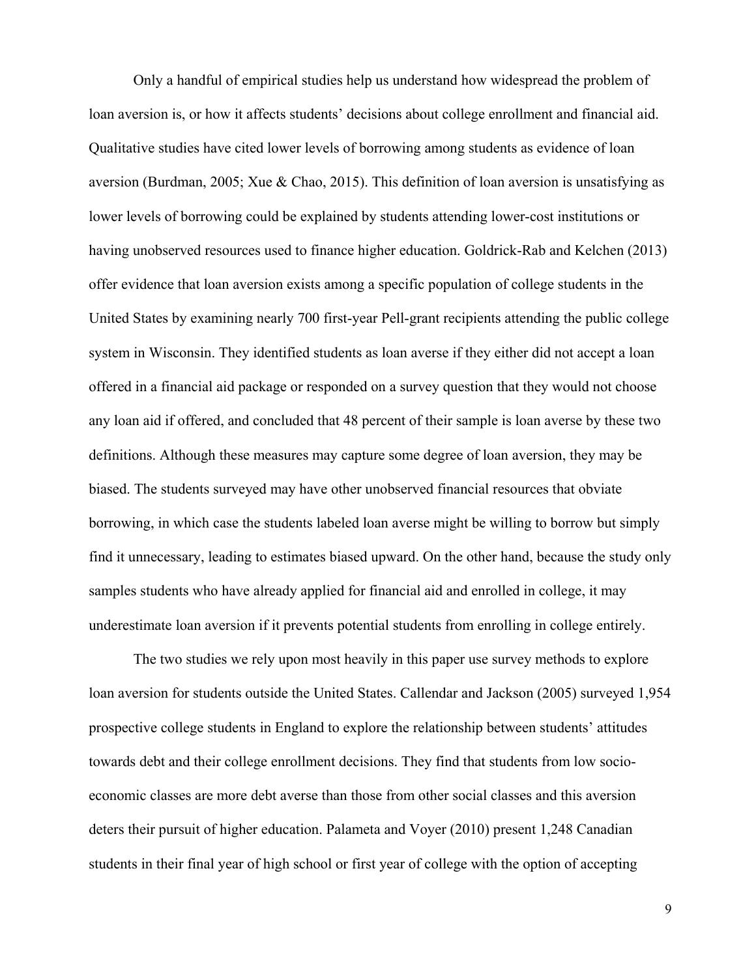Only a handful of empirical studies help us understand how widespread the problem of loan aversion is, or how it affects students' decisions about college enrollment and financial aid. Qualitative studies have cited lower levels of borrowing among students as evidence of loan aversion (Burdman, 2005; Xue & Chao, 2015). This definition of loan aversion is unsatisfying as lower levels of borrowing could be explained by students attending lower-cost institutions or having unobserved resources used to finance higher education. Goldrick-Rab and Kelchen (2013) offer evidence that loan aversion exists among a specific population of college students in the United States by examining nearly 700 first-year Pell-grant recipients attending the public college system in Wisconsin. They identified students as loan averse if they either did not accept a loan offered in a financial aid package or responded on a survey question that they would not choose any loan aid if offered, and concluded that 48 percent of their sample is loan averse by these two definitions. Although these measures may capture some degree of loan aversion, they may be biased. The students surveyed may have other unobserved financial resources that obviate borrowing, in which case the students labeled loan averse might be willing to borrow but simply find it unnecessary, leading to estimates biased upward. On the other hand, because the study only samples students who have already applied for financial aid and enrolled in college, it may underestimate loan aversion if it prevents potential students from enrolling in college entirely.

The two studies we rely upon most heavily in this paper use survey methods to explore loan aversion for students outside the United States. Callendar and Jackson (2005) surveyed 1,954 prospective college students in England to explore the relationship between students' attitudes towards debt and their college enrollment decisions. They find that students from low socioeconomic classes are more debt averse than those from other social classes and this aversion deters their pursuit of higher education. Palameta and Voyer (2010) present 1,248 Canadian students in their final year of high school or first year of college with the option of accepting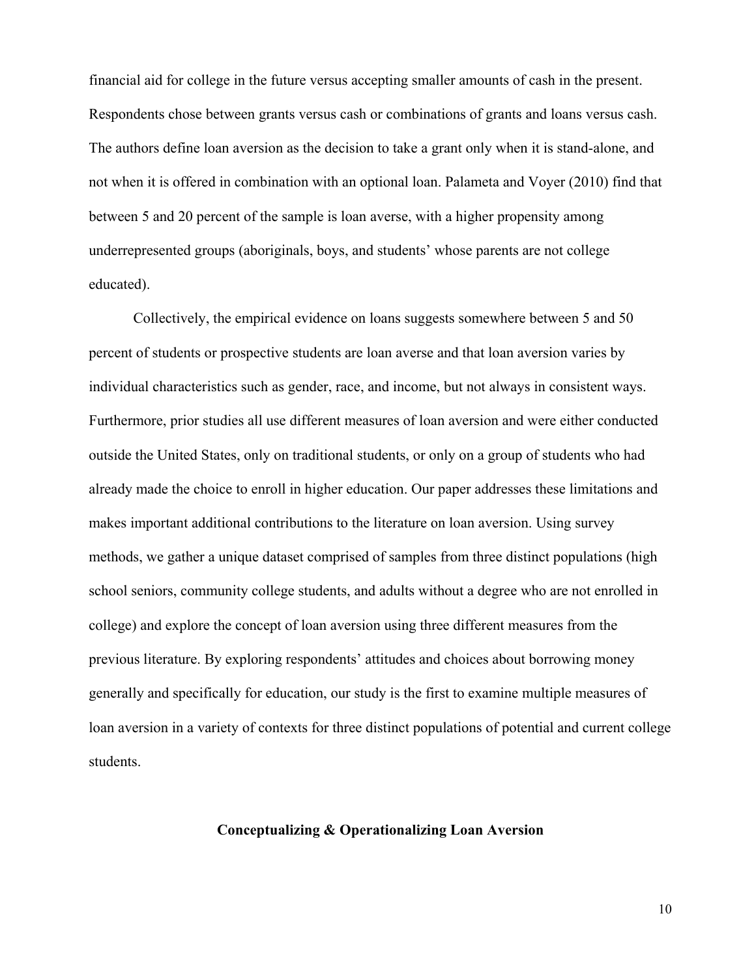financial aid for college in the future versus accepting smaller amounts of cash in the present. Respondents chose between grants versus cash or combinations of grants and loans versus cash. The authors define loan aversion as the decision to take a grant only when it is stand-alone, and not when it is offered in combination with an optional loan. Palameta and Voyer (2010) find that between 5 and 20 percent of the sample is loan averse, with a higher propensity among underrepresented groups (aboriginals, boys, and students' whose parents are not college educated).

Collectively, the empirical evidence on loans suggests somewhere between 5 and 50 percent of students or prospective students are loan averse and that loan aversion varies by individual characteristics such as gender, race, and income, but not always in consistent ways. Furthermore, prior studies all use different measures of loan aversion and were either conducted outside the United States, only on traditional students, or only on a group of students who had already made the choice to enroll in higher education. Our paper addresses these limitations and makes important additional contributions to the literature on loan aversion. Using survey methods, we gather a unique dataset comprised of samples from three distinct populations (high school seniors, community college students, and adults without a degree who are not enrolled in college) and explore the concept of loan aversion using three different measures from the previous literature. By exploring respondents' attitudes and choices about borrowing money generally and specifically for education, our study is the first to examine multiple measures of loan aversion in a variety of contexts for three distinct populations of potential and current college students.

# **Conceptualizing & Operationalizing Loan Aversion**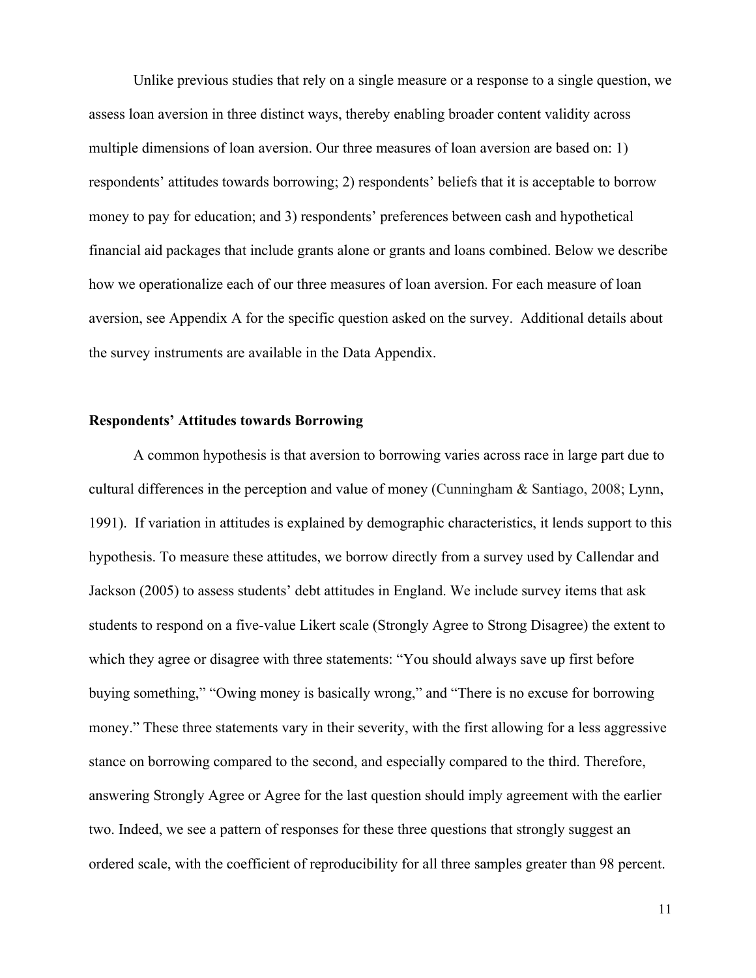Unlike previous studies that rely on a single measure or a response to a single question, we assess loan aversion in three distinct ways, thereby enabling broader content validity across multiple dimensions of loan aversion. Our three measures of loan aversion are based on: 1) respondents' attitudes towards borrowing; 2) respondents' beliefs that it is acceptable to borrow money to pay for education; and 3) respondents' preferences between cash and hypothetical financial aid packages that include grants alone or grants and loans combined. Below we describe how we operationalize each of our three measures of loan aversion. For each measure of loan aversion, see Appendix A for the specific question asked on the survey. Additional details about the survey instruments are available in the Data Appendix.

# **Respondents' Attitudes towards Borrowing**

A common hypothesis is that aversion to borrowing varies across race in large part due to cultural differences in the perception and value of money (Cunningham & Santiago, 2008; Lynn, 1991). If variation in attitudes is explained by demographic characteristics, it lends support to this hypothesis. To measure these attitudes, we borrow directly from a survey used by Callendar and Jackson (2005) to assess students' debt attitudes in England. We include survey items that ask students to respond on a five-value Likert scale (Strongly Agree to Strong Disagree) the extent to which they agree or disagree with three statements: "You should always save up first before buying something," "Owing money is basically wrong," and "There is no excuse for borrowing money." These three statements vary in their severity, with the first allowing for a less aggressive stance on borrowing compared to the second, and especially compared to the third. Therefore, answering Strongly Agree or Agree for the last question should imply agreement with the earlier two. Indeed, we see a pattern of responses for these three questions that strongly suggest an ordered scale, with the coefficient of reproducibility for all three samples greater than 98 percent.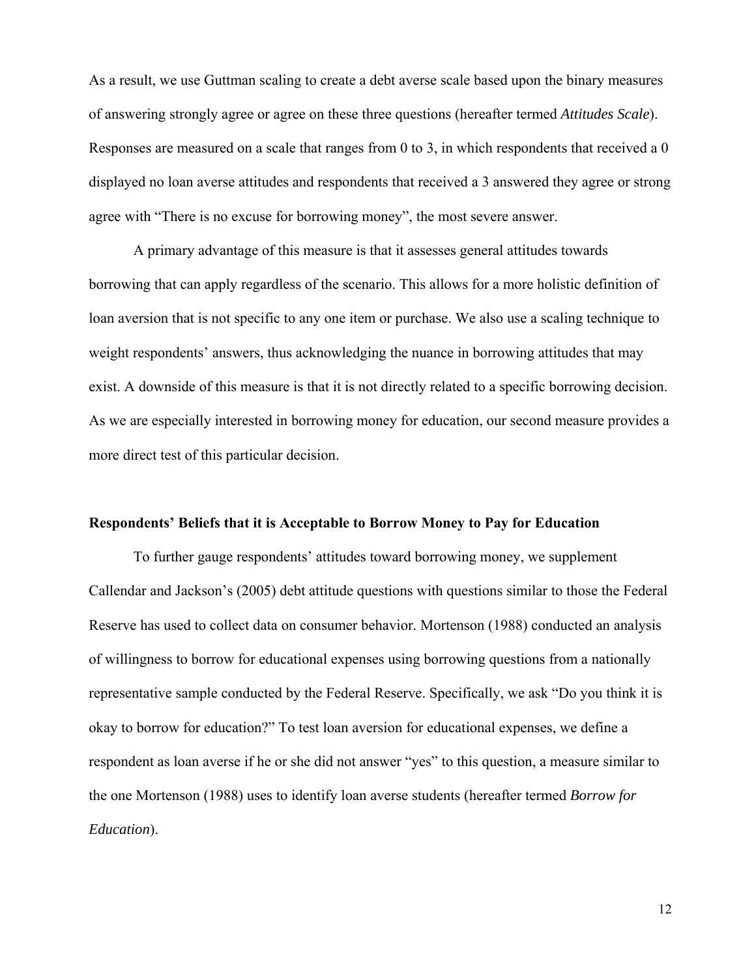As a result, we use Guttman scaling to create a debt averse scale based upon the binary measures of answering strongly agree or agree on these three questions (hereafter termed *Attitudes Scale*). Responses are measured on a scale that ranges from 0 to 3, in which respondents that received a 0 displayed no loan averse attitudes and respondents that received a 3 answered they agree or strong agree with "There is no excuse for borrowing money", the most severe answer.

A primary advantage of this measure is that it assesses general attitudes towards borrowing that can apply regardless of the scenario. This allows for a more holistic definition of loan aversion that is not specific to any one item or purchase. We also use a scaling technique to weight respondents' answers, thus acknowledging the nuance in borrowing attitudes that may exist. A downside of this measure is that it is not directly related to a specific borrowing decision. As we are especially interested in borrowing money for education, our second measure provides a more direct test of this particular decision.

#### **Respondents' Beliefs that it is Acceptable to Borrow Money to Pay for Education**

To further gauge respondents' attitudes toward borrowing money, we supplement Callendar and Jackson's (2005) debt attitude questions with questions similar to those the Federal Reserve has used to collect data on consumer behavior. Mortenson (1988) conducted an analysis of willingness to borrow for educational expenses using borrowing questions from a nationally representative sample conducted by the Federal Reserve. Specifically, we ask "Do you think it is okay to borrow for education?" To test loan aversion for educational expenses, we define a respondent as loan averse if he or she did not answer "yes" to this question, a measure similar to the one Mortenson (1988) uses to identify loan averse students (hereafter termed *Borrow for Education*).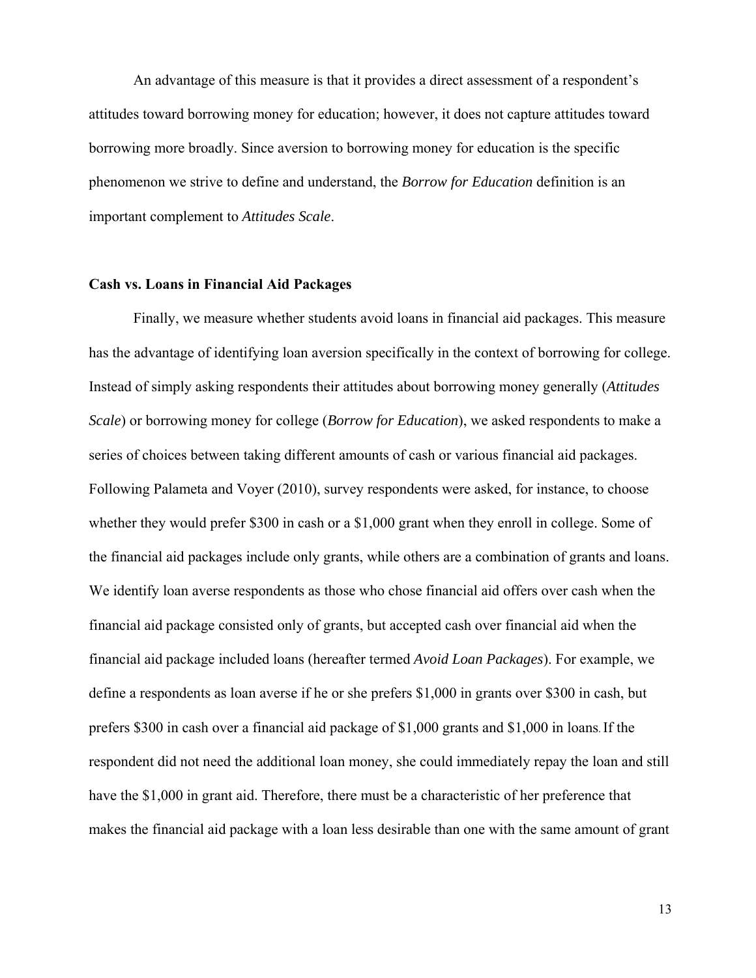An advantage of this measure is that it provides a direct assessment of a respondent's attitudes toward borrowing money for education; however, it does not capture attitudes toward borrowing more broadly. Since aversion to borrowing money for education is the specific phenomenon we strive to define and understand, the *Borrow for Education* definition is an important complement to *Attitudes Scale*.

#### **Cash vs. Loans in Financial Aid Packages**

Finally, we measure whether students avoid loans in financial aid packages. This measure has the advantage of identifying loan aversion specifically in the context of borrowing for college. Instead of simply asking respondents their attitudes about borrowing money generally (*Attitudes Scale*) or borrowing money for college (*Borrow for Education*), we asked respondents to make a series of choices between taking different amounts of cash or various financial aid packages. Following Palameta and Voyer (2010), survey respondents were asked, for instance, to choose whether they would prefer \$300 in cash or a \$1,000 grant when they enroll in college. Some of the financial aid packages include only grants, while others are a combination of grants and loans. We identify loan averse respondents as those who chose financial aid offers over cash when the financial aid package consisted only of grants, but accepted cash over financial aid when the financial aid package included loans (hereafter termed *Avoid Loan Packages*). For example, we define a respondents as loan averse if he or she prefers \$1,000 in grants over \$300 in cash, but prefers \$300 in cash over a financial aid package of \$1,000 grants and \$1,000 in loans. If the respondent did not need the additional loan money, she could immediately repay the loan and still have the \$1,000 in grant aid. Therefore, there must be a characteristic of her preference that makes the financial aid package with a loan less desirable than one with the same amount of grant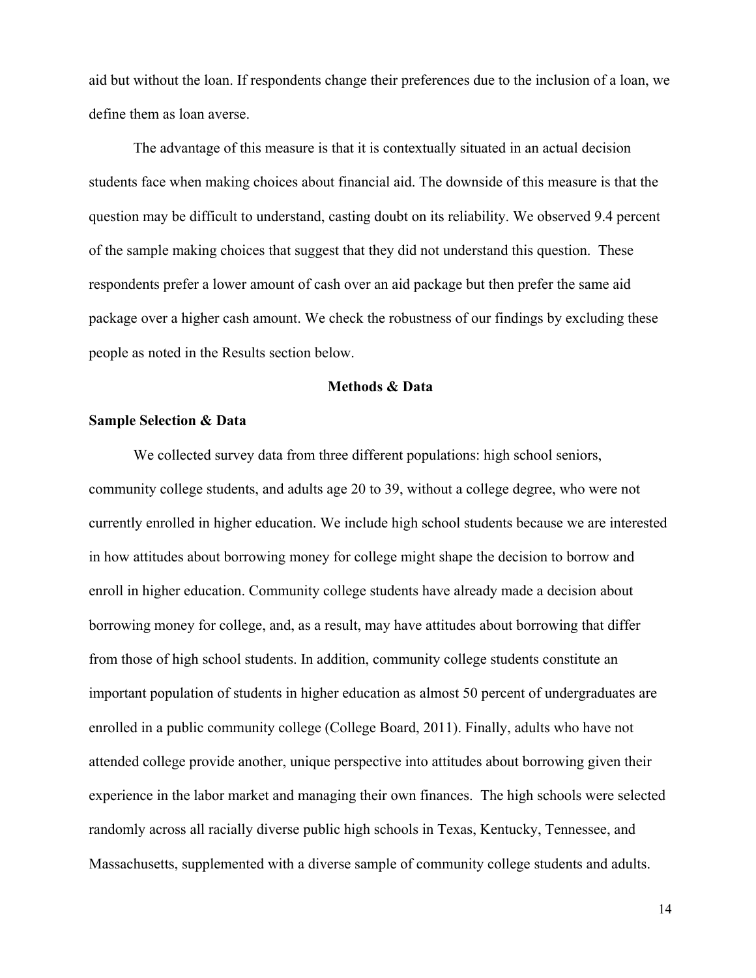aid but without the loan. If respondents change their preferences due to the inclusion of a loan, we define them as loan averse.

The advantage of this measure is that it is contextually situated in an actual decision students face when making choices about financial aid. The downside of this measure is that the question may be difficult to understand, casting doubt on its reliability. We observed 9.4 percent of the sample making choices that suggest that they did not understand this question. These respondents prefer a lower amount of cash over an aid package but then prefer the same aid package over a higher cash amount. We check the robustness of our findings by excluding these people as noted in the Results section below.

# **Methods & Data**

#### **Sample Selection & Data**

We collected survey data from three different populations: high school seniors, community college students, and adults age 20 to 39, without a college degree, who were not currently enrolled in higher education. We include high school students because we are interested in how attitudes about borrowing money for college might shape the decision to borrow and enroll in higher education. Community college students have already made a decision about borrowing money for college, and, as a result, may have attitudes about borrowing that differ from those of high school students. In addition, community college students constitute an important population of students in higher education as almost 50 percent of undergraduates are enrolled in a public community college (College Board, 2011). Finally, adults who have not attended college provide another, unique perspective into attitudes about borrowing given their experience in the labor market and managing their own finances. The high schools were selected randomly across all racially diverse public high schools in Texas, Kentucky, Tennessee, and Massachusetts, supplemented with a diverse sample of community college students and adults.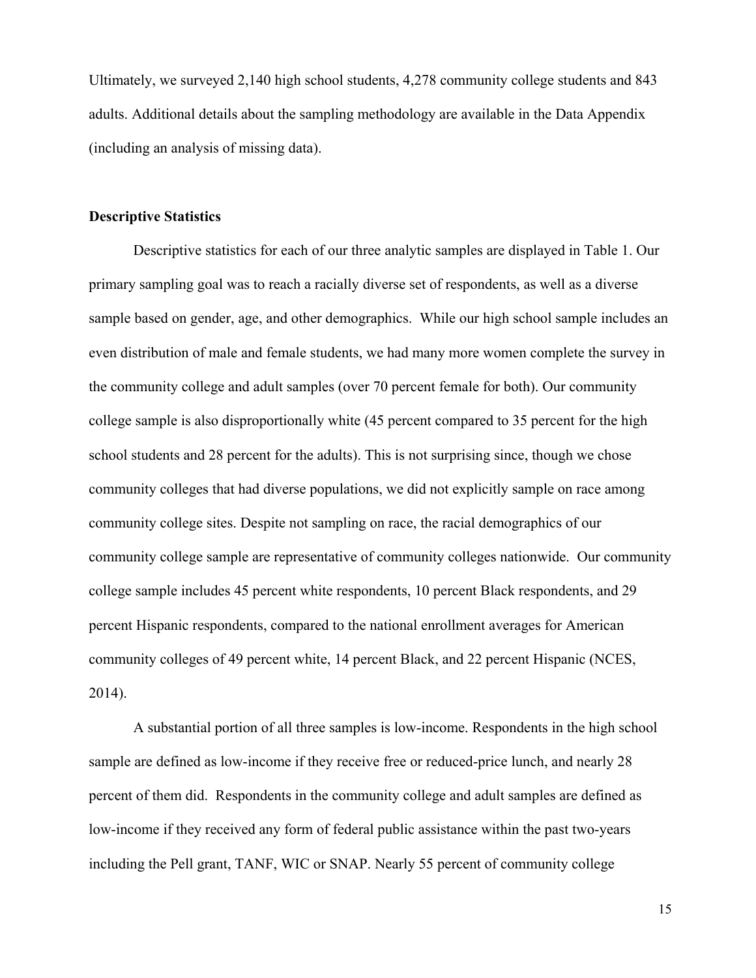Ultimately, we surveyed 2,140 high school students, 4,278 community college students and 843 adults. Additional details about the sampling methodology are available in the Data Appendix (including an analysis of missing data).

#### **Descriptive Statistics**

Descriptive statistics for each of our three analytic samples are displayed in Table 1. Our primary sampling goal was to reach a racially diverse set of respondents, as well as a diverse sample based on gender, age, and other demographics. While our high school sample includes an even distribution of male and female students, we had many more women complete the survey in the community college and adult samples (over 70 percent female for both). Our community college sample is also disproportionally white (45 percent compared to 35 percent for the high school students and 28 percent for the adults). This is not surprising since, though we chose community colleges that had diverse populations, we did not explicitly sample on race among community college sites. Despite not sampling on race, the racial demographics of our community college sample are representative of community colleges nationwide. Our community college sample includes 45 percent white respondents, 10 percent Black respondents, and 29 percent Hispanic respondents, compared to the national enrollment averages for American community colleges of 49 percent white, 14 percent Black, and 22 percent Hispanic (NCES, 2014).

A substantial portion of all three samples is low-income. Respondents in the high school sample are defined as low-income if they receive free or reduced-price lunch, and nearly 28 percent of them did. Respondents in the community college and adult samples are defined as low-income if they received any form of federal public assistance within the past two-years including the Pell grant, TANF, WIC or SNAP. Nearly 55 percent of community college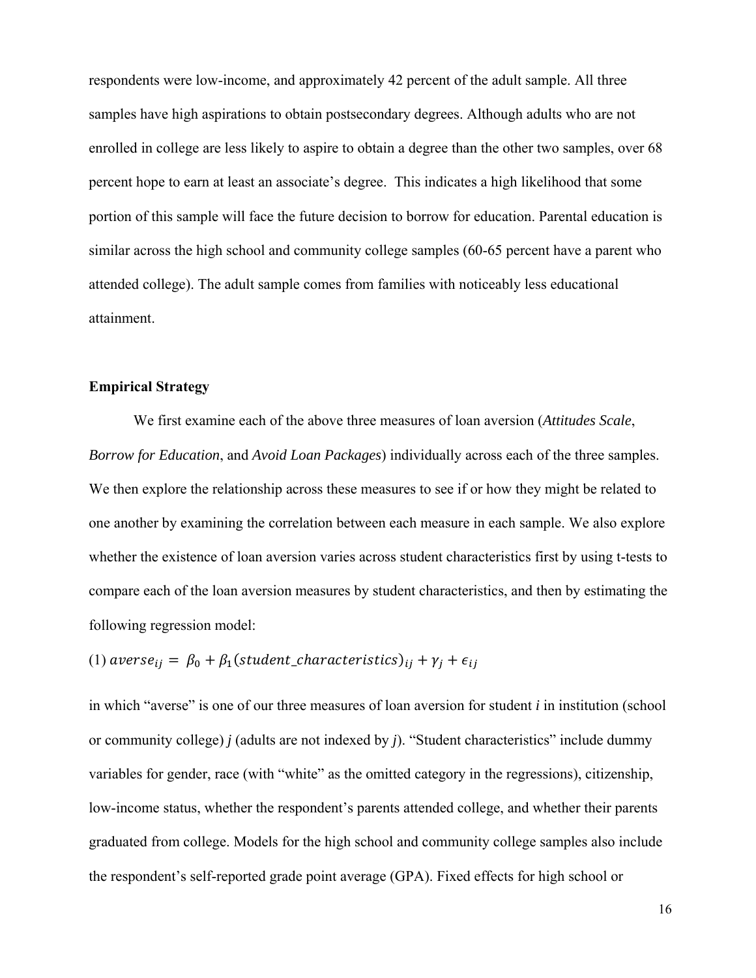respondents were low-income, and approximately 42 percent of the adult sample. All three samples have high aspirations to obtain postsecondary degrees. Although adults who are not enrolled in college are less likely to aspire to obtain a degree than the other two samples, over 68 percent hope to earn at least an associate's degree. This indicates a high likelihood that some portion of this sample will face the future decision to borrow for education. Parental education is similar across the high school and community college samples (60-65 percent have a parent who attended college). The adult sample comes from families with noticeably less educational attainment.

# **Empirical Strategy**

We first examine each of the above three measures of loan aversion (*Attitudes Scale*, *Borrow for Education*, and *Avoid Loan Packages*) individually across each of the three samples. We then explore the relationship across these measures to see if or how they might be related to one another by examining the correlation between each measure in each sample. We also explore whether the existence of loan aversion varies across student characteristics first by using t-tests to compare each of the loan aversion measures by student characteristics, and then by estimating the following regression model:

(1)  $\arccos e_{ij} = \beta_0 + \beta_1(\text{student\_characteristics})_{ij} + \gamma_i + \epsilon_{ij}$ 

in which "averse" is one of our three measures of loan aversion for student *i* in institution (school or community college) *j* (adults are not indexed by *j*). "Student characteristics" include dummy variables for gender, race (with "white" as the omitted category in the regressions), citizenship, low-income status, whether the respondent's parents attended college, and whether their parents graduated from college. Models for the high school and community college samples also include the respondent's self-reported grade point average (GPA). Fixed effects for high school or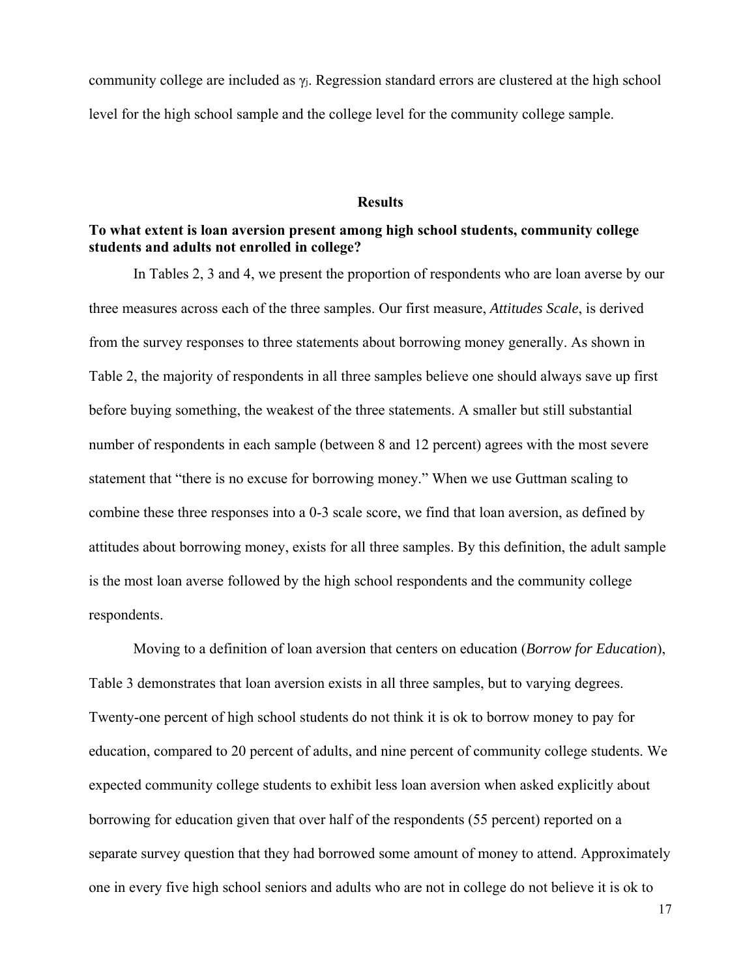community college are included as  $\gamma_i$ . Regression standard errors are clustered at the high school level for the high school sample and the college level for the community college sample.

#### **Results**

# **To what extent is loan aversion present among high school students, community college students and adults not enrolled in college?**

In Tables 2, 3 and 4, we present the proportion of respondents who are loan averse by our three measures across each of the three samples. Our first measure, *Attitudes Scale*, is derived from the survey responses to three statements about borrowing money generally. As shown in Table 2, the majority of respondents in all three samples believe one should always save up first before buying something, the weakest of the three statements. A smaller but still substantial number of respondents in each sample (between 8 and 12 percent) agrees with the most severe statement that "there is no excuse for borrowing money." When we use Guttman scaling to combine these three responses into a 0-3 scale score, we find that loan aversion, as defined by attitudes about borrowing money, exists for all three samples. By this definition, the adult sample is the most loan averse followed by the high school respondents and the community college respondents.

Moving to a definition of loan aversion that centers on education (*Borrow for Education*), Table 3 demonstrates that loan aversion exists in all three samples, but to varying degrees. Twenty-one percent of high school students do not think it is ok to borrow money to pay for education, compared to 20 percent of adults, and nine percent of community college students. We expected community college students to exhibit less loan aversion when asked explicitly about borrowing for education given that over half of the respondents (55 percent) reported on a separate survey question that they had borrowed some amount of money to attend. Approximately one in every five high school seniors and adults who are not in college do not believe it is ok to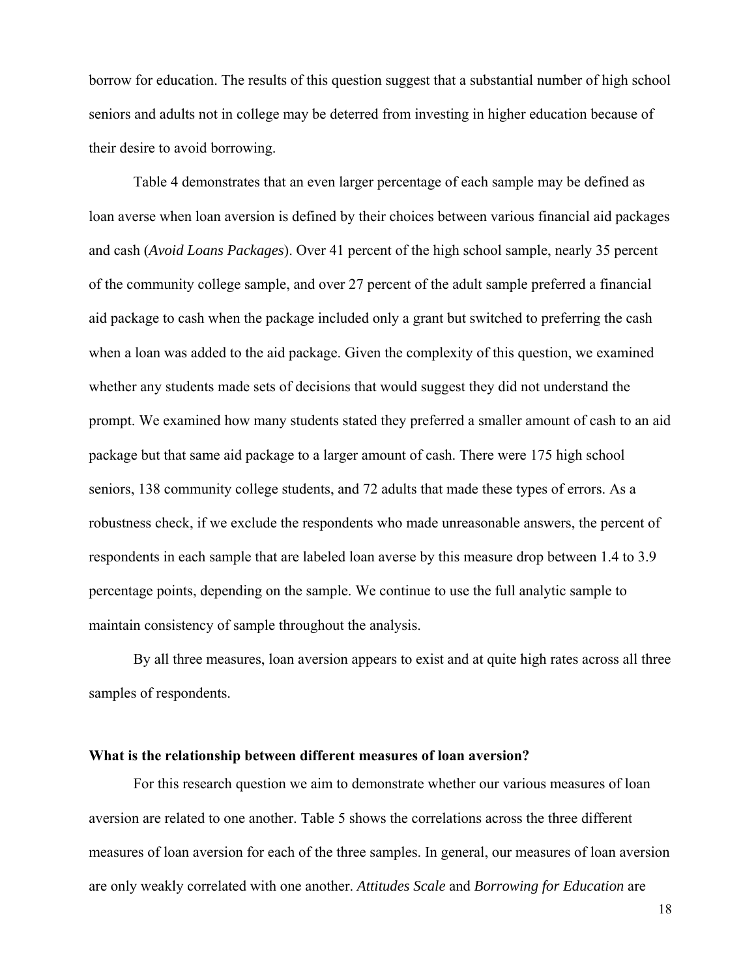borrow for education. The results of this question suggest that a substantial number of high school seniors and adults not in college may be deterred from investing in higher education because of their desire to avoid borrowing.

Table 4 demonstrates that an even larger percentage of each sample may be defined as loan averse when loan aversion is defined by their choices between various financial aid packages and cash (*Avoid Loans Packages*). Over 41 percent of the high school sample, nearly 35 percent of the community college sample, and over 27 percent of the adult sample preferred a financial aid package to cash when the package included only a grant but switched to preferring the cash when a loan was added to the aid package. Given the complexity of this question, we examined whether any students made sets of decisions that would suggest they did not understand the prompt. We examined how many students stated they preferred a smaller amount of cash to an aid package but that same aid package to a larger amount of cash. There were 175 high school seniors, 138 community college students, and 72 adults that made these types of errors. As a robustness check, if we exclude the respondents who made unreasonable answers, the percent of respondents in each sample that are labeled loan averse by this measure drop between 1.4 to 3.9 percentage points, depending on the sample. We continue to use the full analytic sample to maintain consistency of sample throughout the analysis.

By all three measures, loan aversion appears to exist and at quite high rates across all three samples of respondents.

#### **What is the relationship between different measures of loan aversion?**

 For this research question we aim to demonstrate whether our various measures of loan aversion are related to one another. Table 5 shows the correlations across the three different measures of loan aversion for each of the three samples. In general, our measures of loan aversion are only weakly correlated with one another. *Attitudes Scale* and *Borrowing for Education* are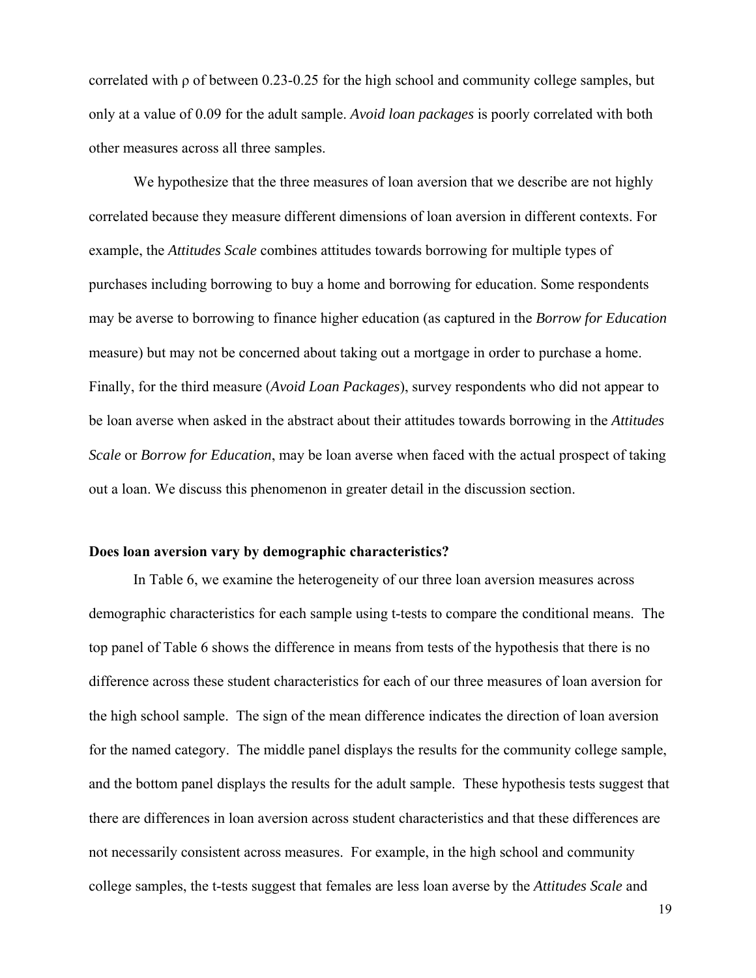correlated with ρ of between 0.23-0.25 for the high school and community college samples, but only at a value of 0.09 for the adult sample. *Avoid loan packages* is poorly correlated with both other measures across all three samples.

We hypothesize that the three measures of loan aversion that we describe are not highly correlated because they measure different dimensions of loan aversion in different contexts. For example, the *Attitudes Scale* combines attitudes towards borrowing for multiple types of purchases including borrowing to buy a home and borrowing for education. Some respondents may be averse to borrowing to finance higher education (as captured in the *Borrow for Education* measure) but may not be concerned about taking out a mortgage in order to purchase a home. Finally, for the third measure (*Avoid Loan Packages*), survey respondents who did not appear to be loan averse when asked in the abstract about their attitudes towards borrowing in the *Attitudes Scale* or *Borrow for Education*, may be loan averse when faced with the actual prospect of taking out a loan. We discuss this phenomenon in greater detail in the discussion section.

# **Does loan aversion vary by demographic characteristics?**

In Table 6, we examine the heterogeneity of our three loan aversion measures across demographic characteristics for each sample using t-tests to compare the conditional means. The top panel of Table 6 shows the difference in means from tests of the hypothesis that there is no difference across these student characteristics for each of our three measures of loan aversion for the high school sample. The sign of the mean difference indicates the direction of loan aversion for the named category. The middle panel displays the results for the community college sample, and the bottom panel displays the results for the adult sample. These hypothesis tests suggest that there are differences in loan aversion across student characteristics and that these differences are not necessarily consistent across measures. For example, in the high school and community college samples, the t-tests suggest that females are less loan averse by the *Attitudes Scale* and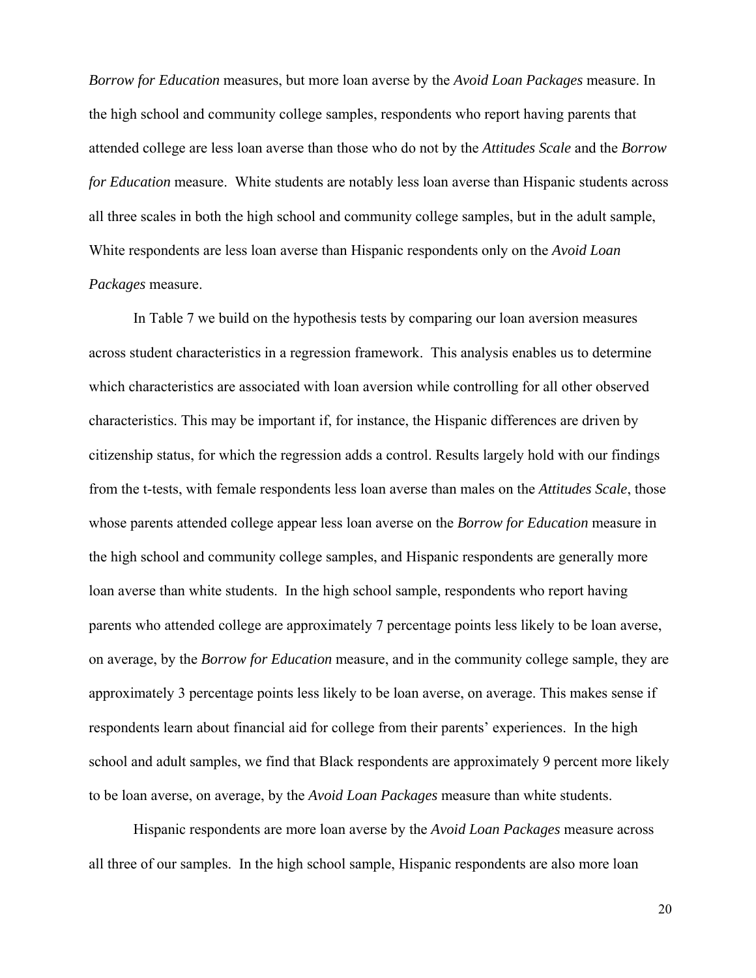*Borrow for Education* measures, but more loan averse by the *Avoid Loan Packages* measure. In the high school and community college samples, respondents who report having parents that attended college are less loan averse than those who do not by the *Attitudes Scale* and the *Borrow for Education* measure. White students are notably less loan averse than Hispanic students across all three scales in both the high school and community college samples, but in the adult sample, White respondents are less loan averse than Hispanic respondents only on the *Avoid Loan Packages* measure.

In Table 7 we build on the hypothesis tests by comparing our loan aversion measures across student characteristics in a regression framework. This analysis enables us to determine which characteristics are associated with loan aversion while controlling for all other observed characteristics. This may be important if, for instance, the Hispanic differences are driven by citizenship status, for which the regression adds a control. Results largely hold with our findings from the t-tests, with female respondents less loan averse than males on the *Attitudes Scale*, those whose parents attended college appear less loan averse on the *Borrow for Education* measure in the high school and community college samples, and Hispanic respondents are generally more loan averse than white students. In the high school sample, respondents who report having parents who attended college are approximately 7 percentage points less likely to be loan averse, on average, by the *Borrow for Education* measure, and in the community college sample, they are approximately 3 percentage points less likely to be loan averse, on average. This makes sense if respondents learn about financial aid for college from their parents' experiences. In the high school and adult samples, we find that Black respondents are approximately 9 percent more likely to be loan averse, on average, by the *Avoid Loan Packages* measure than white students.

Hispanic respondents are more loan averse by the *Avoid Loan Packages* measure across all three of our samples. In the high school sample, Hispanic respondents are also more loan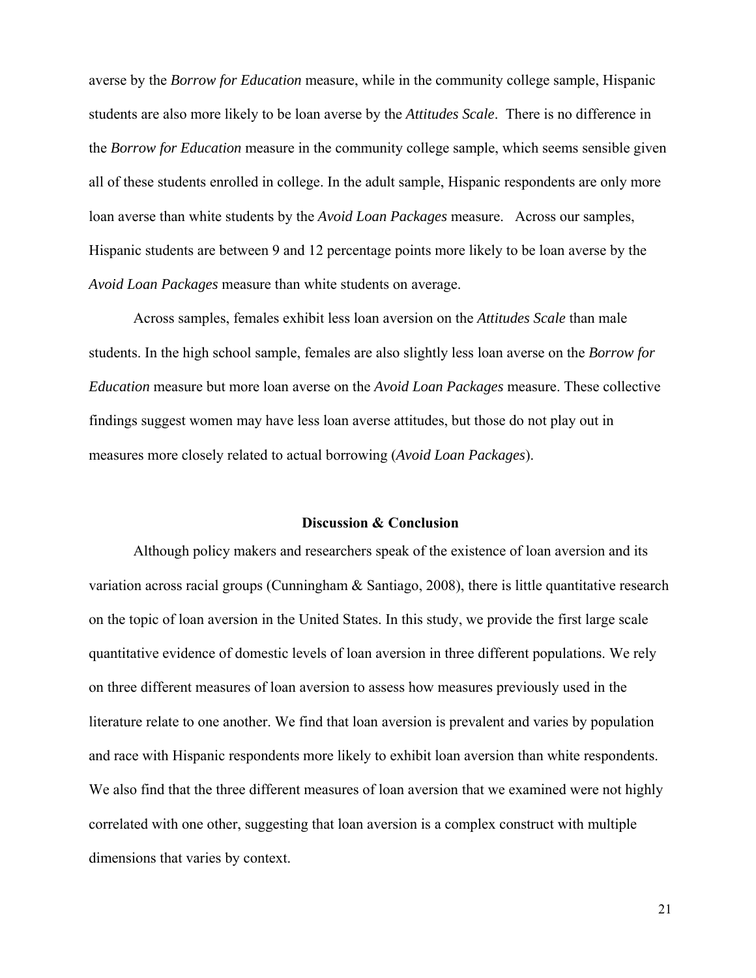averse by the *Borrow for Education* measure, while in the community college sample, Hispanic students are also more likely to be loan averse by the *Attitudes Scale*. There is no difference in the *Borrow for Education* measure in the community college sample, which seems sensible given all of these students enrolled in college. In the adult sample, Hispanic respondents are only more loan averse than white students by the *Avoid Loan Packages* measure. Across our samples, Hispanic students are between 9 and 12 percentage points more likely to be loan averse by the *Avoid Loan Packages* measure than white students on average.

Across samples, females exhibit less loan aversion on the *Attitudes Scale* than male students. In the high school sample, females are also slightly less loan averse on the *Borrow for Education* measure but more loan averse on the *Avoid Loan Packages* measure. These collective findings suggest women may have less loan averse attitudes, but those do not play out in measures more closely related to actual borrowing (*Avoid Loan Packages*).

#### **Discussion & Conclusion**

Although policy makers and researchers speak of the existence of loan aversion and its variation across racial groups (Cunningham & Santiago, 2008), there is little quantitative research on the topic of loan aversion in the United States. In this study, we provide the first large scale quantitative evidence of domestic levels of loan aversion in three different populations. We rely on three different measures of loan aversion to assess how measures previously used in the literature relate to one another. We find that loan aversion is prevalent and varies by population and race with Hispanic respondents more likely to exhibit loan aversion than white respondents. We also find that the three different measures of loan aversion that we examined were not highly correlated with one other, suggesting that loan aversion is a complex construct with multiple dimensions that varies by context.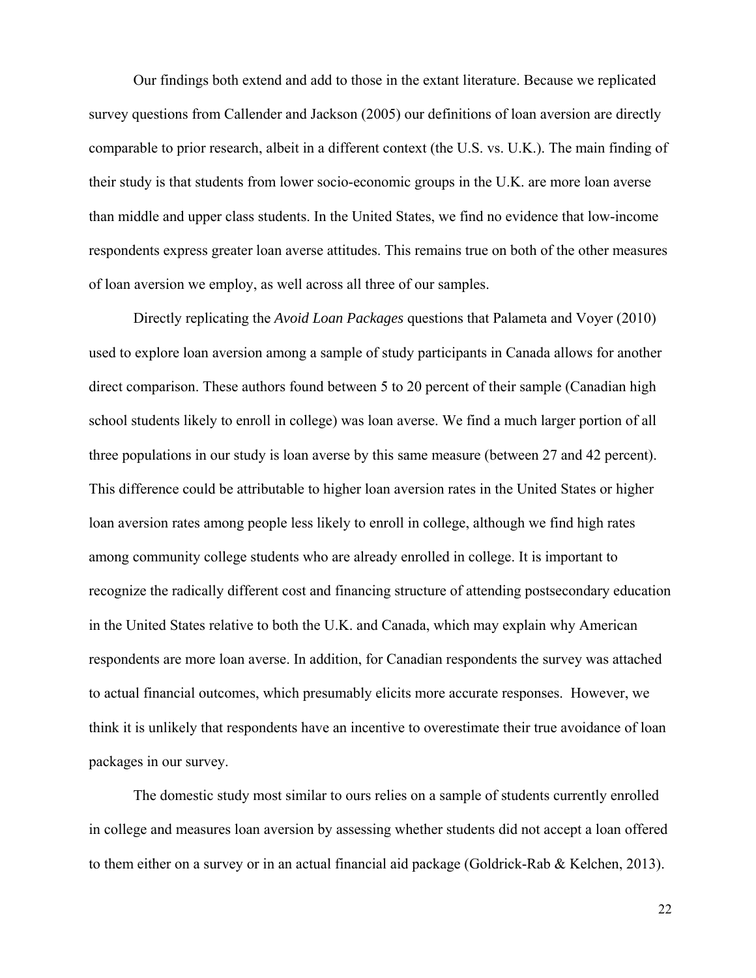Our findings both extend and add to those in the extant literature. Because we replicated survey questions from Callender and Jackson (2005) our definitions of loan aversion are directly comparable to prior research, albeit in a different context (the U.S. vs. U.K.). The main finding of their study is that students from lower socio-economic groups in the U.K. are more loan averse than middle and upper class students. In the United States, we find no evidence that low-income respondents express greater loan averse attitudes. This remains true on both of the other measures of loan aversion we employ, as well across all three of our samples.

Directly replicating the *Avoid Loan Packages* questions that Palameta and Voyer (2010) used to explore loan aversion among a sample of study participants in Canada allows for another direct comparison. These authors found between 5 to 20 percent of their sample (Canadian high school students likely to enroll in college) was loan averse. We find a much larger portion of all three populations in our study is loan averse by this same measure (between 27 and 42 percent). This difference could be attributable to higher loan aversion rates in the United States or higher loan aversion rates among people less likely to enroll in college, although we find high rates among community college students who are already enrolled in college. It is important to recognize the radically different cost and financing structure of attending postsecondary education in the United States relative to both the U.K. and Canada, which may explain why American respondents are more loan averse. In addition, for Canadian respondents the survey was attached to actual financial outcomes, which presumably elicits more accurate responses. However, we think it is unlikely that respondents have an incentive to overestimate their true avoidance of loan packages in our survey.

The domestic study most similar to ours relies on a sample of students currently enrolled in college and measures loan aversion by assessing whether students did not accept a loan offered to them either on a survey or in an actual financial aid package (Goldrick-Rab & Kelchen, 2013).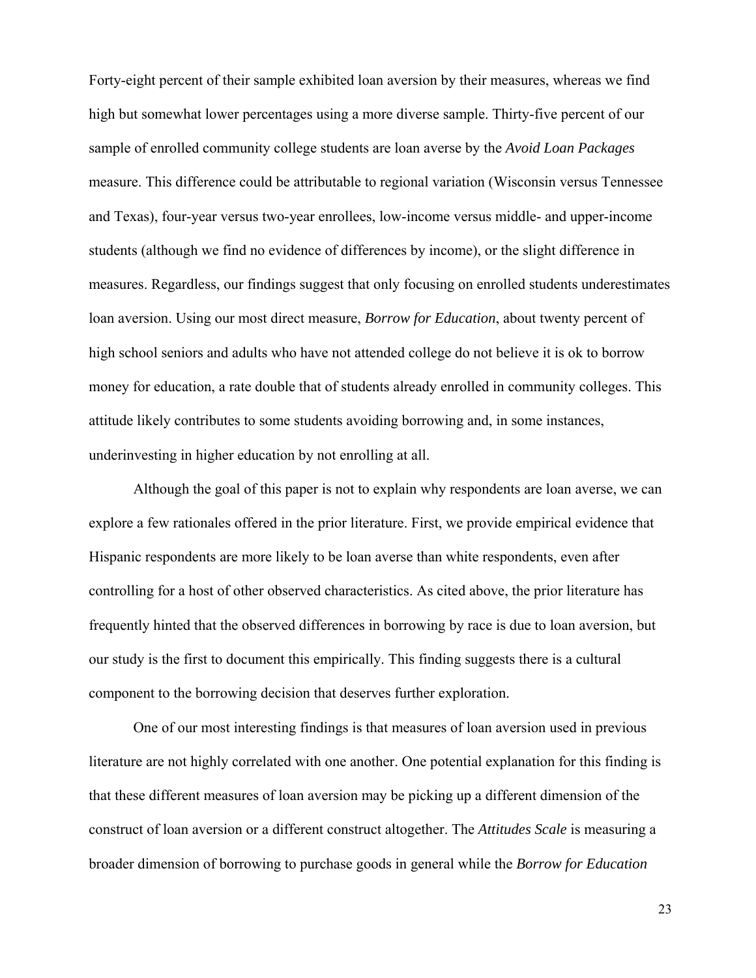Forty-eight percent of their sample exhibited loan aversion by their measures, whereas we find high but somewhat lower percentages using a more diverse sample. Thirty-five percent of our sample of enrolled community college students are loan averse by the *Avoid Loan Packages* measure. This difference could be attributable to regional variation (Wisconsin versus Tennessee and Texas), four-year versus two-year enrollees, low-income versus middle- and upper-income students (although we find no evidence of differences by income), or the slight difference in measures. Regardless, our findings suggest that only focusing on enrolled students underestimates loan aversion. Using our most direct measure, *Borrow for Education*, about twenty percent of high school seniors and adults who have not attended college do not believe it is ok to borrow money for education, a rate double that of students already enrolled in community colleges. This attitude likely contributes to some students avoiding borrowing and, in some instances, underinvesting in higher education by not enrolling at all.

Although the goal of this paper is not to explain why respondents are loan averse, we can explore a few rationales offered in the prior literature. First, we provide empirical evidence that Hispanic respondents are more likely to be loan averse than white respondents, even after controlling for a host of other observed characteristics. As cited above, the prior literature has frequently hinted that the observed differences in borrowing by race is due to loan aversion, but our study is the first to document this empirically. This finding suggests there is a cultural component to the borrowing decision that deserves further exploration.

One of our most interesting findings is that measures of loan aversion used in previous literature are not highly correlated with one another. One potential explanation for this finding is that these different measures of loan aversion may be picking up a different dimension of the construct of loan aversion or a different construct altogether. The *Attitudes Scale* is measuring a broader dimension of borrowing to purchase goods in general while the *Borrow for Education*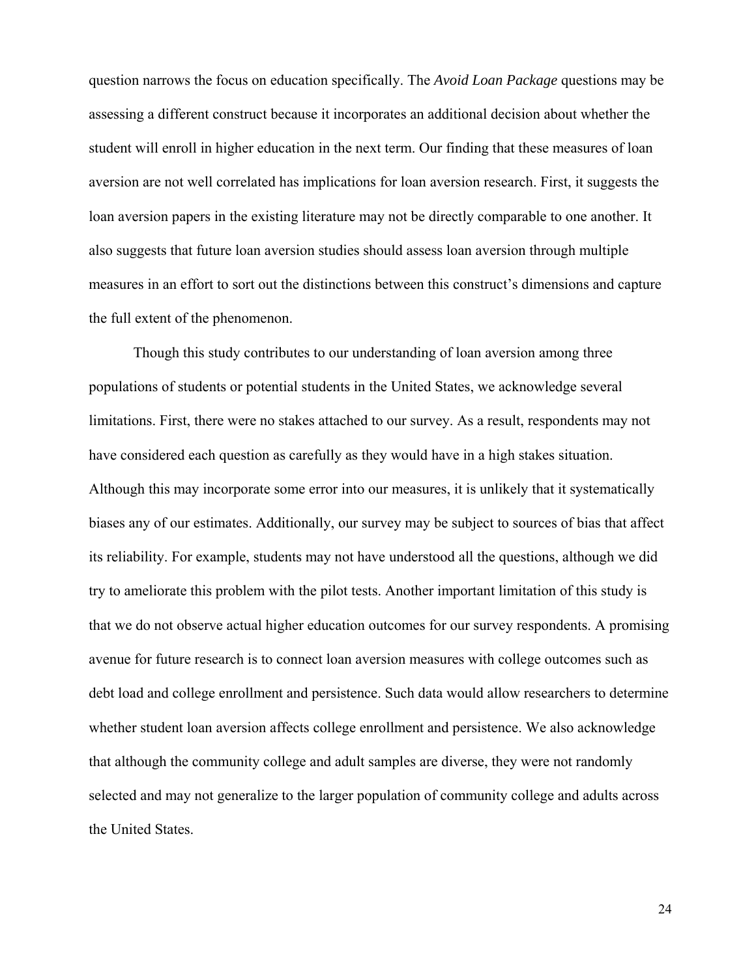question narrows the focus on education specifically. The *Avoid Loan Package* questions may be assessing a different construct because it incorporates an additional decision about whether the student will enroll in higher education in the next term. Our finding that these measures of loan aversion are not well correlated has implications for loan aversion research. First, it suggests the loan aversion papers in the existing literature may not be directly comparable to one another. It also suggests that future loan aversion studies should assess loan aversion through multiple measures in an effort to sort out the distinctions between this construct's dimensions and capture the full extent of the phenomenon.

Though this study contributes to our understanding of loan aversion among three populations of students or potential students in the United States, we acknowledge several limitations. First, there were no stakes attached to our survey. As a result, respondents may not have considered each question as carefully as they would have in a high stakes situation. Although this may incorporate some error into our measures, it is unlikely that it systematically biases any of our estimates. Additionally, our survey may be subject to sources of bias that affect its reliability. For example, students may not have understood all the questions, although we did try to ameliorate this problem with the pilot tests. Another important limitation of this study is that we do not observe actual higher education outcomes for our survey respondents. A promising avenue for future research is to connect loan aversion measures with college outcomes such as debt load and college enrollment and persistence. Such data would allow researchers to determine whether student loan aversion affects college enrollment and persistence. We also acknowledge that although the community college and adult samples are diverse, they were not randomly selected and may not generalize to the larger population of community college and adults across the United States.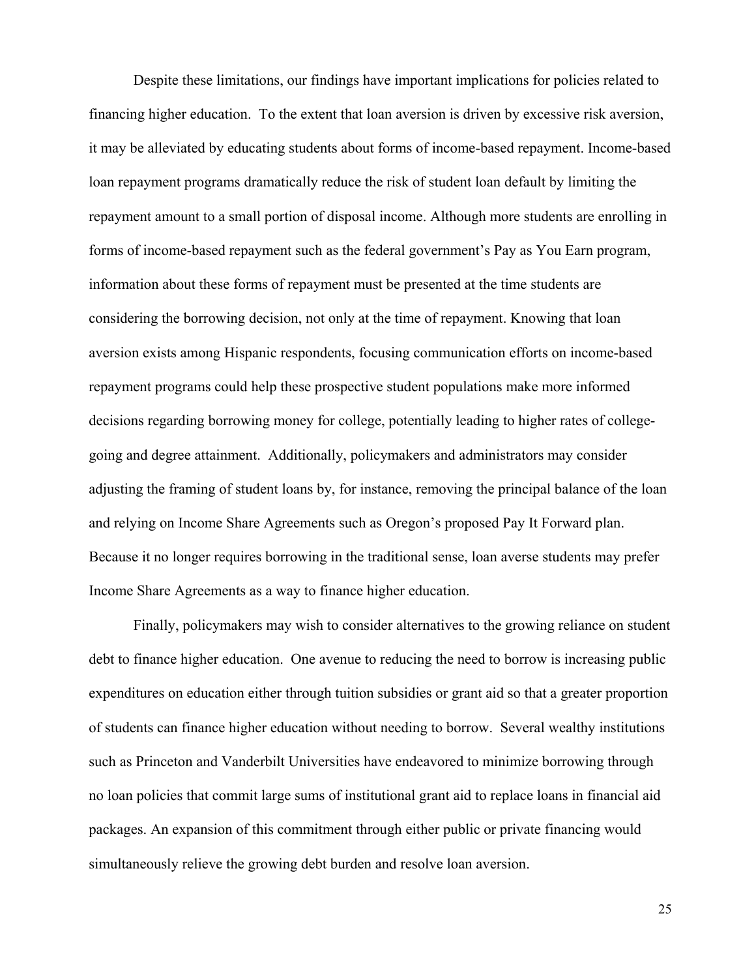Despite these limitations, our findings have important implications for policies related to financing higher education. To the extent that loan aversion is driven by excessive risk aversion, it may be alleviated by educating students about forms of income-based repayment. Income-based loan repayment programs dramatically reduce the risk of student loan default by limiting the repayment amount to a small portion of disposal income. Although more students are enrolling in forms of income-based repayment such as the federal government's Pay as You Earn program, information about these forms of repayment must be presented at the time students are considering the borrowing decision, not only at the time of repayment. Knowing that loan aversion exists among Hispanic respondents, focusing communication efforts on income-based repayment programs could help these prospective student populations make more informed decisions regarding borrowing money for college, potentially leading to higher rates of collegegoing and degree attainment. Additionally, policymakers and administrators may consider adjusting the framing of student loans by, for instance, removing the principal balance of the loan and relying on Income Share Agreements such as Oregon's proposed Pay It Forward plan. Because it no longer requires borrowing in the traditional sense, loan averse students may prefer Income Share Agreements as a way to finance higher education.

Finally, policymakers may wish to consider alternatives to the growing reliance on student debt to finance higher education. One avenue to reducing the need to borrow is increasing public expenditures on education either through tuition subsidies or grant aid so that a greater proportion of students can finance higher education without needing to borrow. Several wealthy institutions such as Princeton and Vanderbilt Universities have endeavored to minimize borrowing through no loan policies that commit large sums of institutional grant aid to replace loans in financial aid packages. An expansion of this commitment through either public or private financing would simultaneously relieve the growing debt burden and resolve loan aversion.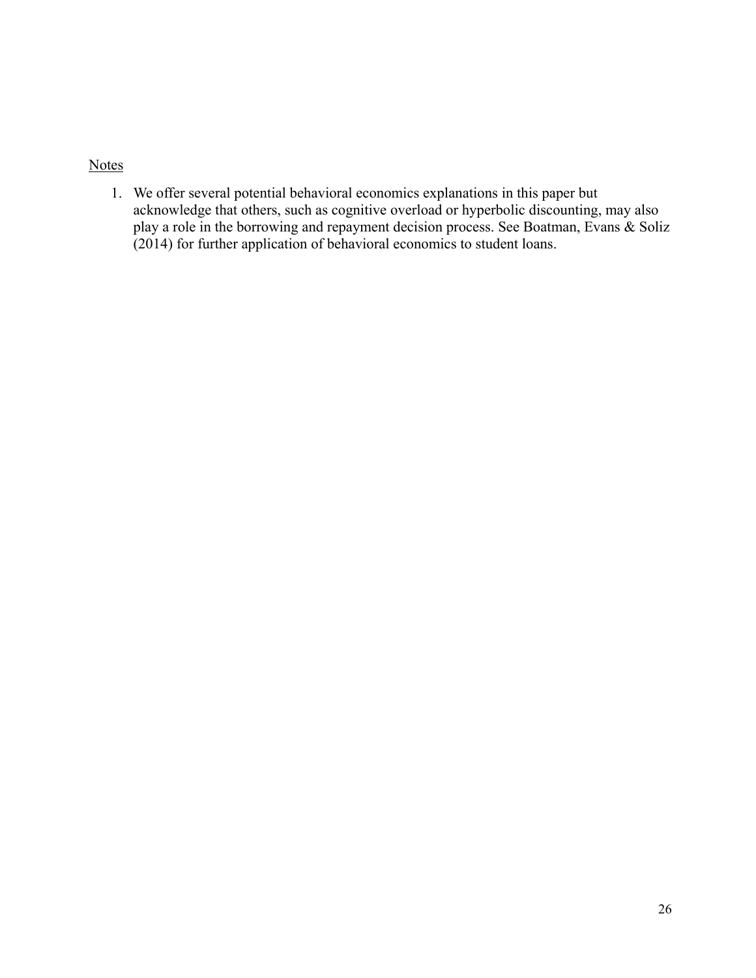# **Notes**

1. We offer several potential behavioral economics explanations in this paper but acknowledge that others, such as cognitive overload or hyperbolic discounting, may also play a role in the borrowing and repayment decision process. See Boatman, Evans & Soliz (2014) for further application of behavioral economics to student loans.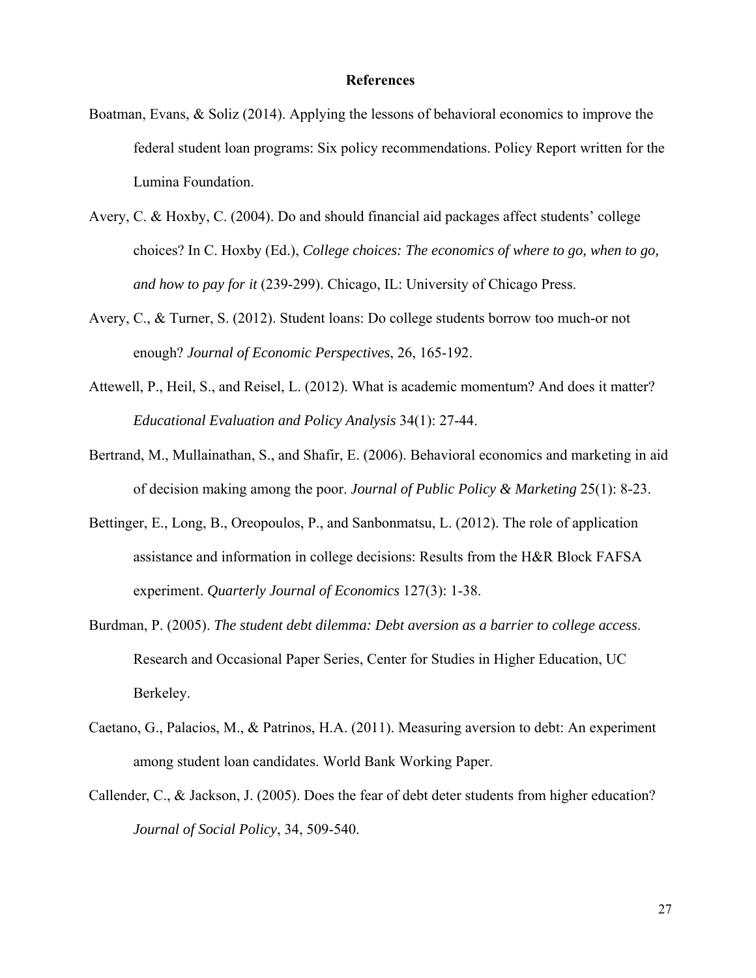#### **References**

- Boatman, Evans, & Soliz (2014). Applying the lessons of behavioral economics to improve the federal student loan programs: Six policy recommendations. Policy Report written for the Lumina Foundation.
- Avery, C. & Hoxby, C. (2004). Do and should financial aid packages affect students' college choices? In C. Hoxby (Ed.), *College choices: The economics of where to go, when to go, and how to pay for it* (239-299). Chicago, IL: University of Chicago Press.
- Avery, C., & Turner, S. (2012). Student loans: Do college students borrow too much-or not enough? *Journal of Economic Perspectives*, 26, 165-192.
- Attewell, P., Heil, S., and Reisel, L. (2012). What is academic momentum? And does it matter? *Educational Evaluation and Policy Analysis* 34(1): 27-44.
- Bertrand, M., Mullainathan, S., and Shafir, E. (2006). Behavioral economics and marketing in aid of decision making among the poor. *Journal of Public Policy & Marketing* 25(1): 8-23.
- Bettinger, E., Long, B., Oreopoulos, P., and Sanbonmatsu, L. (2012). The role of application assistance and information in college decisions: Results from the H&R Block FAFSA experiment. *Quarterly Journal of Economics* 127(3): 1-38.
- Burdman, P. (2005). *The student debt dilemma: Debt aversion as a barrier to college access*. Research and Occasional Paper Series, Center for Studies in Higher Education, UC Berkeley.
- Caetano, G., Palacios, M., & Patrinos, H.A. (2011). Measuring aversion to debt: An experiment among student loan candidates. World Bank Working Paper.
- Callender, C., & Jackson, J. (2005). Does the fear of debt deter students from higher education? *Journal of Social Policy*, 34, 509-540.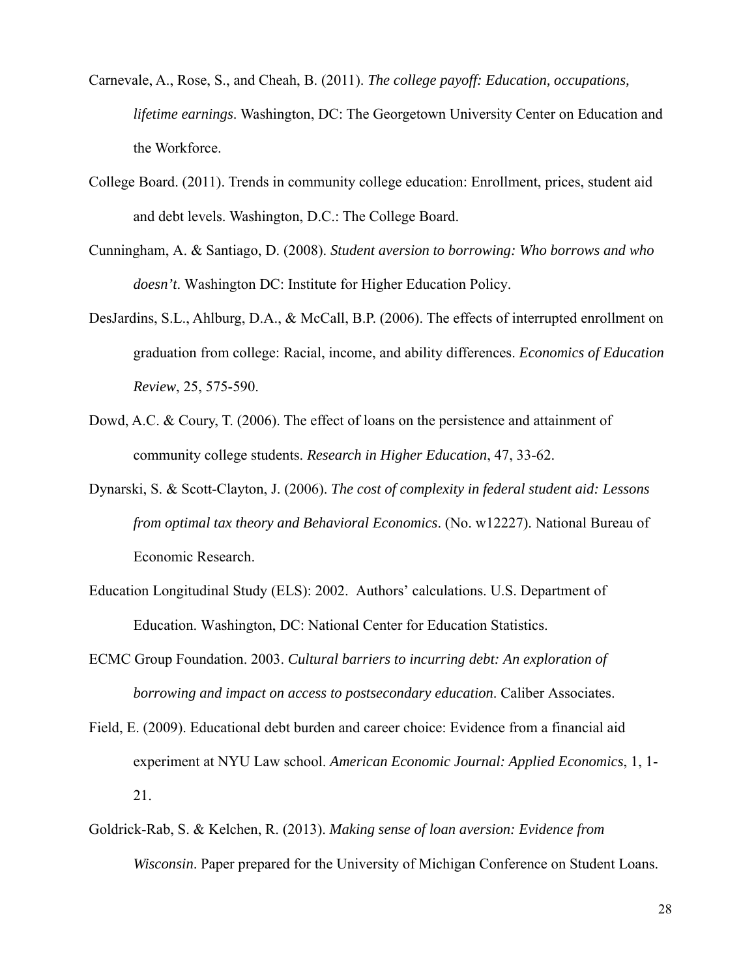- Carnevale, A., Rose, S., and Cheah, B. (2011). *The college payoff: Education, occupations, lifetime earnings*. Washington, DC: The Georgetown University Center on Education and the Workforce.
- College Board. (2011). Trends in community college education: Enrollment, prices, student aid and debt levels. Washington, D.C.: The College Board.
- Cunningham, A. & Santiago, D. (2008). *Student aversion to borrowing: Who borrows and who doesn't*. Washington DC: Institute for Higher Education Policy.
- DesJardins, S.L., Ahlburg, D.A., & McCall, B.P. (2006). The effects of interrupted enrollment on graduation from college: Racial, income, and ability differences. *Economics of Education Review*, 25, 575-590.
- Dowd, A.C. & Coury, T. (2006). The effect of loans on the persistence and attainment of community college students. *Research in Higher Education*, 47, 33-62.
- Dynarski, S. & Scott-Clayton, J. (2006). *The cost of complexity in federal student aid: Lessons from optimal tax theory and Behavioral Economics*. (No. w12227). National Bureau of Economic Research.
- Education Longitudinal Study (ELS): 2002. Authors' calculations. U.S. Department of Education. Washington, DC: National Center for Education Statistics.
- ECMC Group Foundation. 2003. *Cultural barriers to incurring debt: An exploration of borrowing and impact on access to postsecondary education*. Caliber Associates.
- Field, E. (2009). Educational debt burden and career choice: Evidence from a financial aid experiment at NYU Law school. *American Economic Journal: Applied Economics*, 1, 1- 21.
- Goldrick-Rab, S. & Kelchen, R. (2013). *Making sense of loan aversion: Evidence from Wisconsin*. Paper prepared for the University of Michigan Conference on Student Loans.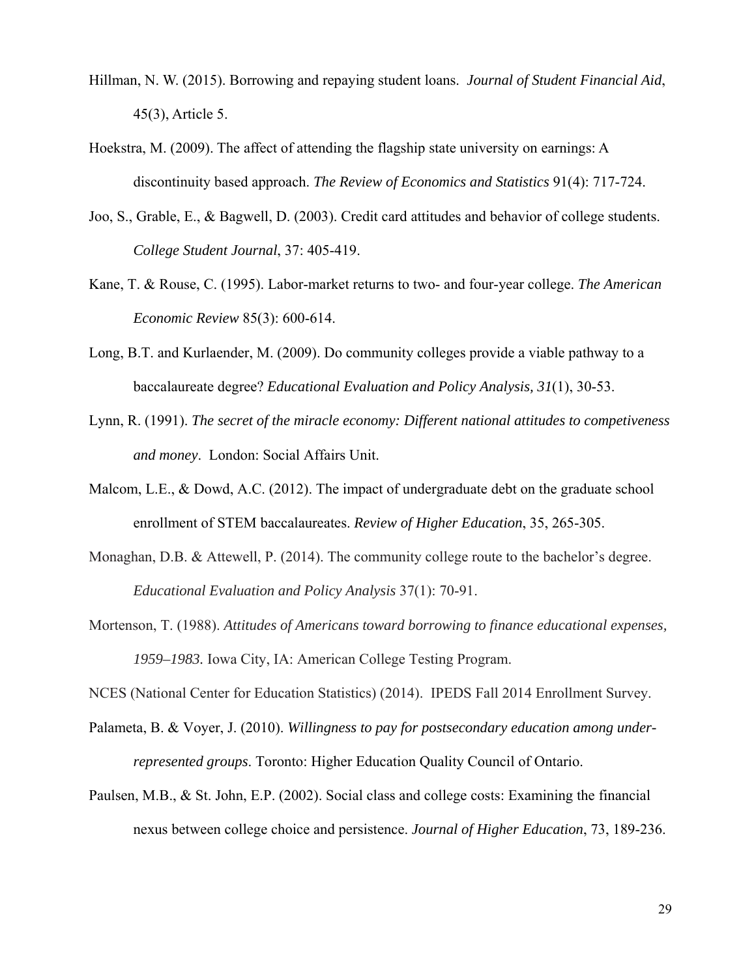- Hillman, N. W. (2015). Borrowing and repaying student loans. *Journal of Student Financial Aid*, 45(3), Article 5.
- Hoekstra, M. (2009). The affect of attending the flagship state university on earnings: A discontinuity based approach. *The Review of Economics and Statistics* 91(4): 717-724.
- Joo, S., Grable, E., & Bagwell, D. (2003). Credit card attitudes and behavior of college students. *College Student Journal*, 37: 405-419.
- Kane, T. & Rouse, C. (1995). Labor-market returns to two- and four-year college. *The American Economic Review* 85(3): 600-614.
- Long, B.T. and Kurlaender, M. (2009). Do community colleges provide a viable pathway to a baccalaureate degree? *Educational Evaluation and Policy Analysis, 31*(1), 30-53.
- Lynn, R. (1991). *The secret of the miracle economy: Different national attitudes to competiveness and money*. London: Social Affairs Unit.
- Malcom, L.E., & Dowd, A.C. (2012). The impact of undergraduate debt on the graduate school enrollment of STEM baccalaureates. *Review of Higher Education*, 35, 265-305.
- Monaghan, D.B. & Attewell, P. (2014). The community college route to the bachelor's degree. *Educational Evaluation and Policy Analysis* 37(1): 70-91.
- Mortenson, T. (1988). *Attitudes of Americans toward borrowing to finance educational expenses, 1959–1983.* Iowa City, IA: American College Testing Program.
- NCES (National Center for Education Statistics) (2014). IPEDS Fall 2014 Enrollment Survey.
- Palameta, B. & Voyer, J. (2010). *Willingness to pay for postsecondary education among underrepresented groups*. Toronto: Higher Education Quality Council of Ontario.
- Paulsen, M.B., & St. John, E.P. (2002). Social class and college costs: Examining the financial nexus between college choice and persistence. *Journal of Higher Education*, 73, 189-236.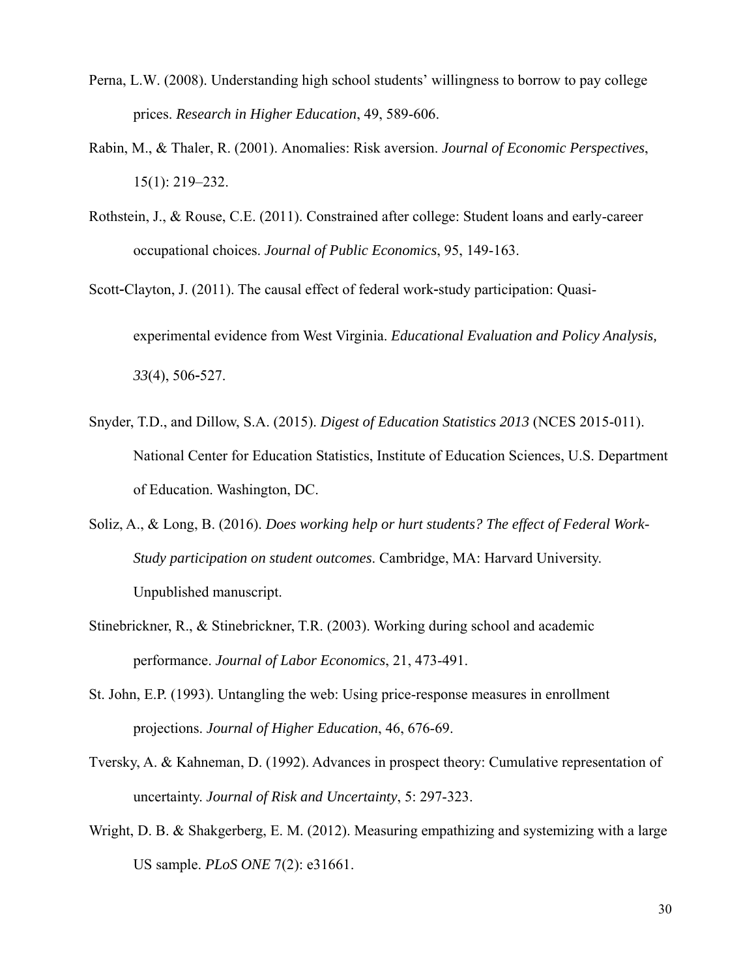- Perna, L.W. (2008). Understanding high school students' willingness to borrow to pay college prices. *Research in Higher Education*, 49, 589-606.
- Rabin, M., & Thaler, R. (2001). Anomalies: Risk aversion. *Journal of Economic Perspectives*, 15(1): 219–232.
- Rothstein, J., & Rouse, C.E. (2011). Constrained after college: Student loans and early-career occupational choices. *Journal of Public Economics*, 95, 149-163.
- Scott-Clayton, J. (2011). The causal effect of federal work-study participation: Quasiexperimental evidence from West Virginia. *Educational Evaluation and Policy Analysis, 33*(4), 506‐527.
- Snyder, T.D., and Dillow, S.A. (2015). *Digest of Education Statistics 2013* (NCES 2015-011). National Center for Education Statistics, Institute of Education Sciences, U.S. Department of Education. Washington, DC.
- Soliz, A., & Long, B. (2016). *Does working help or hurt students? The effect of Federal Work-Study participation on student outcomes*. Cambridge, MA: Harvard University. Unpublished manuscript.
- Stinebrickner, R., & Stinebrickner, T.R. (2003). Working during school and academic performance. *Journal of Labor Economics*, 21, 473-491.
- St. John, E.P. (1993). Untangling the web: Using price-response measures in enrollment projections. *Journal of Higher Education*, 46, 676-69.
- Tversky, A. & Kahneman, D. (1992). Advances in prospect theory: Cumulative representation of uncertainty. *Journal of Risk and Uncertainty*, 5: 297-323.
- Wright, D. B. & Shakgerberg, E. M. (2012). Measuring empathizing and systemizing with a large US sample. *PLoS ONE* 7(2): e31661.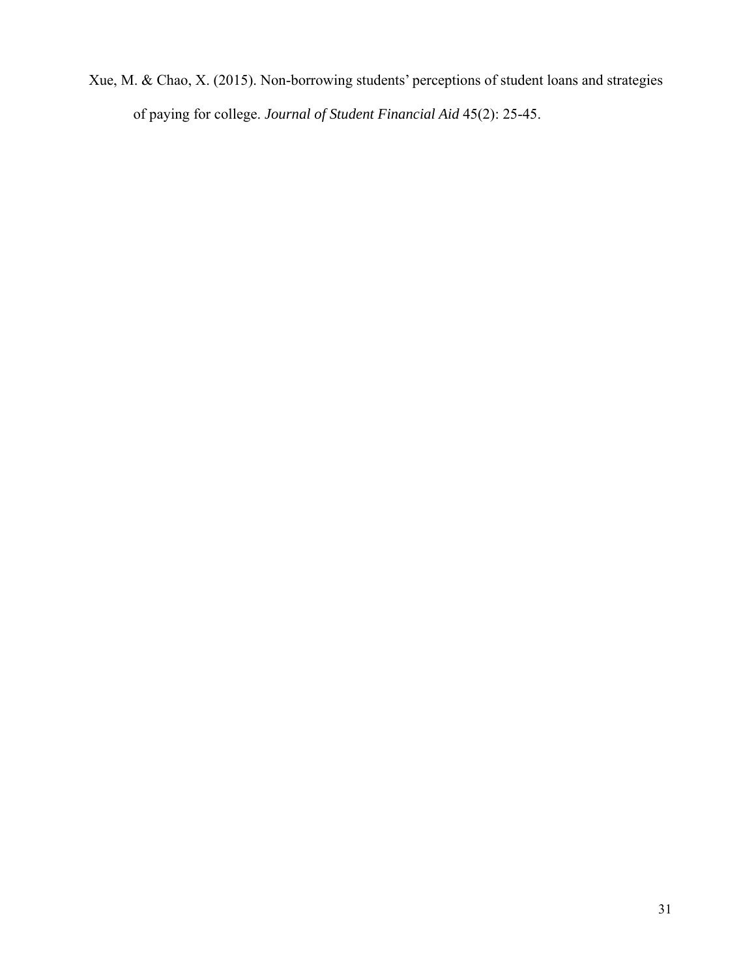Xue, M. & Chao, X. (2015). Non-borrowing students' perceptions of student loans and strategies of paying for college. *Journal of Student Financial Aid* 45(2): 25-45.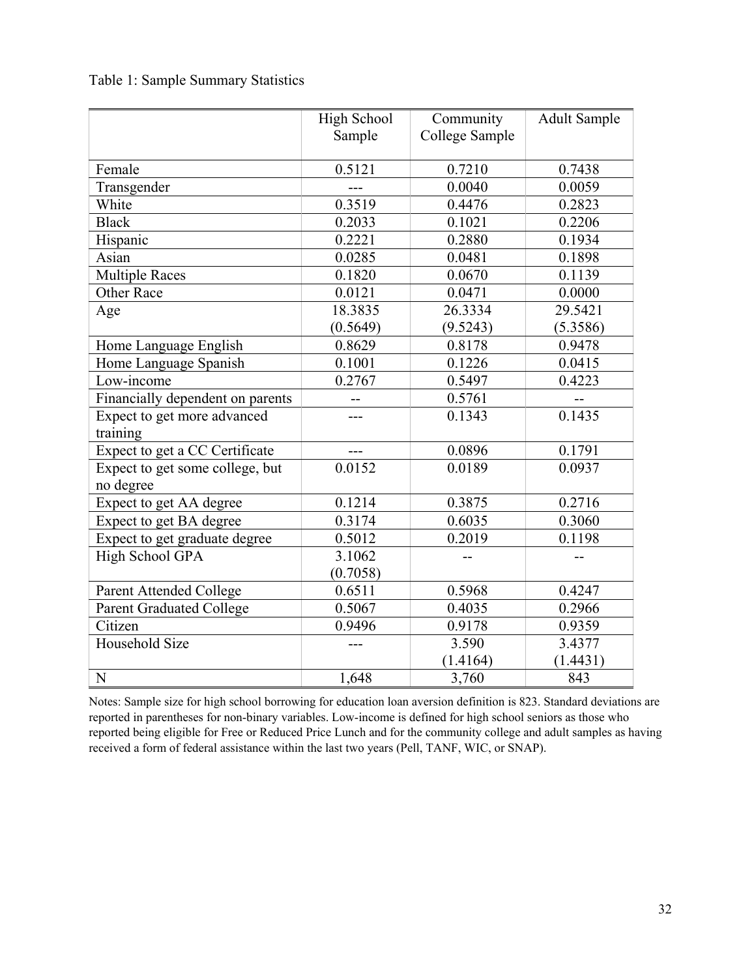Table 1: Sample Summary Statistics

|                                  | High School | Community      | <b>Adult Sample</b> |
|----------------------------------|-------------|----------------|---------------------|
|                                  | Sample      | College Sample |                     |
|                                  |             |                |                     |
| Female                           | 0.5121      | 0.7210         | 0.7438              |
| Transgender                      | $---$       | 0.0040         | 0.0059              |
| White                            | 0.3519      | 0.4476         | 0.2823              |
| <b>Black</b>                     | 0.2033      | 0.1021         | 0.2206              |
| Hispanic                         | 0.2221      | 0.2880         | 0.1934              |
| Asian                            | 0.0285      | 0.0481         | 0.1898              |
| <b>Multiple Races</b>            | 0.1820      | 0.0670         | 0.1139              |
| <b>Other Race</b>                | 0.0121      | 0.0471         | 0.0000              |
| Age                              | 18.3835     | 26.3334        | 29.5421             |
|                                  | (0.5649)    | (9.5243)       | (5.3586)            |
| Home Language English            | 0.8629      | 0.8178         | 0.9478              |
| Home Language Spanish            | 0.1001      | 0.1226         | 0.0415              |
| Low-income                       | 0.2767      | 0.5497         | 0.4223              |
| Financially dependent on parents |             | 0.5761         |                     |
| Expect to get more advanced      | ---         | 0.1343         | 0.1435              |
| training                         |             |                |                     |
| Expect to get a CC Certificate   | ---         | 0.0896         | 0.1791              |
| Expect to get some college, but  | 0.0152      | 0.0189         | 0.0937              |
| no degree                        |             |                |                     |
| Expect to get AA degree          | 0.1214      | 0.3875         | 0.2716              |
| Expect to get BA degree          | 0.3174      | 0.6035         | 0.3060              |
| Expect to get graduate degree    | 0.5012      | 0.2019         | 0.1198              |
| High School GPA                  | 3.1062      |                | $-$                 |
|                                  | (0.7058)    |                |                     |
| Parent Attended College          | 0.6511      | 0.5968         | 0.4247              |
| <b>Parent Graduated College</b>  | 0.5067      | 0.4035         | 0.2966              |
| Citizen                          | 0.9496      | 0.9178         | 0.9359              |
| Household Size                   |             | 3.590          | 3.4377              |
|                                  |             | (1.4164)       | (1.4431)            |
| ${\bf N}$                        | 1,648       | 3,760          | 843                 |

Notes: Sample size for high school borrowing for education loan aversion definition is 823. Standard deviations are reported in parentheses for non-binary variables. Low-income is defined for high school seniors as those who reported being eligible for Free or Reduced Price Lunch and for the community college and adult samples as having received a form of federal assistance within the last two years (Pell, TANF, WIC, or SNAP).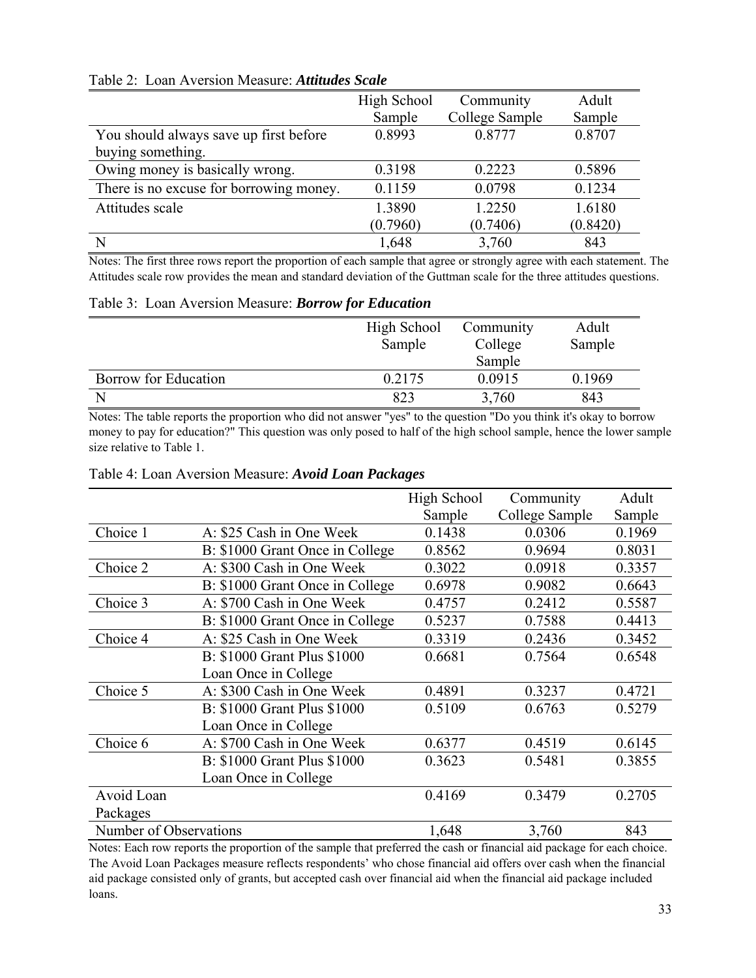|                                         | High School<br>Sample | Community<br>College Sample | Adult<br>Sample |
|-----------------------------------------|-----------------------|-----------------------------|-----------------|
| You should always save up first before  | 0.8993                | 0.8777                      | 0.8707          |
| buying something.                       |                       |                             |                 |
| Owing money is basically wrong.         | 0.3198                | 0.2223                      | 0.5896          |
| There is no excuse for borrowing money. | 0.1159                | 0.0798                      | 0.1234          |
| Attitudes scale                         | 1.3890                | 1.2250                      | 1.6180          |
|                                         | (0.7960)              | (0.7406)                    | (0.8420)        |
|                                         | 1,648                 | 3,760                       | 843             |

# Table 2: Loan Aversion Measure: *Attitudes Scale*

Notes: The first three rows report the proportion of each sample that agree or strongly agree with each statement. The Attitudes scale row provides the mean and standard deviation of the Guttman scale for the three attitudes questions.

#### Table 3: Loan Aversion Measure: *Borrow for Education*

|                      | High School<br>Sample | Community<br>College | Adult<br>Sample |
|----------------------|-----------------------|----------------------|-----------------|
|                      |                       | Sample               |                 |
| Borrow for Education | 0.2175                | 0.0915               | 0.1969          |
|                      | 823                   | 3,760                | 843             |

Notes: The table reports the proportion who did not answer "yes" to the question "Do you think it's okay to borrow money to pay for education?" This question was only posed to half of the high school sample, hence the lower sample size relative to Table 1.

|                        |                                 | High School | Community      | Adult  |
|------------------------|---------------------------------|-------------|----------------|--------|
|                        |                                 | Sample      | College Sample | Sample |
| Choice 1               | A: \$25 Cash in One Week        | 0.1438      | 0.0306         | 0.1969 |
|                        | B: \$1000 Grant Once in College | 0.8562      | 0.9694         | 0.8031 |
| Choice 2               | A: \$300 Cash in One Week       | 0.3022      | 0.0918         | 0.3357 |
|                        | B: \$1000 Grant Once in College | 0.6978      | 0.9082         | 0.6643 |
| Choice 3               | A: \$700 Cash in One Week       | 0.4757      | 0.2412         | 0.5587 |
|                        | B: \$1000 Grant Once in College | 0.5237      | 0.7588         | 0.4413 |
| Choice 4               | A: \$25 Cash in One Week        | 0.3319      | 0.2436         | 0.3452 |
|                        | B: \$1000 Grant Plus \$1000     | 0.6681      | 0.7564         | 0.6548 |
|                        | Loan Once in College            |             |                |        |
| Choice 5               | A: \$300 Cash in One Week       | 0.4891      | 0.3237         | 0.4721 |
|                        | B: \$1000 Grant Plus \$1000     | 0.5109      | 0.6763         | 0.5279 |
|                        | Loan Once in College            |             |                |        |
| Choice 6               | A: \$700 Cash in One Week       | 0.6377      | 0.4519         | 0.6145 |
|                        | B: \$1000 Grant Plus \$1000     | 0.3623      | 0.5481         | 0.3855 |
|                        | Loan Once in College            |             |                |        |
| Avoid Loan             |                                 | 0.4169      | 0.3479         | 0.2705 |
| Packages               |                                 |             |                |        |
| Number of Observations |                                 | 1,648       | 3,760          | 843    |

#### Table 4: Loan Aversion Measure: *Avoid Loan Packages*

Notes: Each row reports the proportion of the sample that preferred the cash or financial aid package for each choice. The Avoid Loan Packages measure reflects respondents' who chose financial aid offers over cash when the financial aid package consisted only of grants, but accepted cash over financial aid when the financial aid package included loans.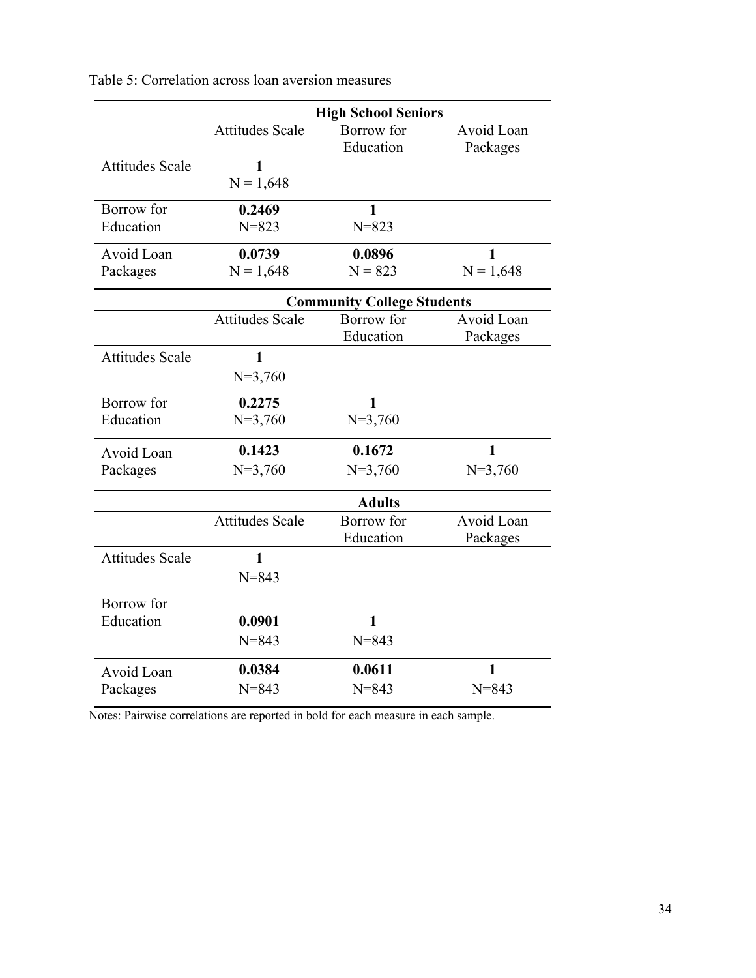|                        |                        | <b>High School Seniors</b>        |              |
|------------------------|------------------------|-----------------------------------|--------------|
|                        | <b>Attitudes Scale</b> | Borrow for                        | Avoid Loan   |
|                        |                        | Education                         | Packages     |
| <b>Attitudes Scale</b> | $\mathbf{1}$           |                                   |              |
|                        | $N = 1,648$            |                                   |              |
| Borrow for             | 0.2469                 | 1                                 |              |
| Education              | $N = 823$              | $N = 823$                         |              |
| Avoid Loan             | 0.0739                 | 0.0896                            | $\mathbf{1}$ |
| Packages               | $N = 1,648$            | $N = 823$                         | $N = 1,648$  |
|                        |                        | <b>Community College Students</b> |              |
|                        | <b>Attitudes Scale</b> | Borrow for                        | Avoid Loan   |
|                        |                        | Education                         | Packages     |
| <b>Attitudes Scale</b> | $\mathbf{1}$           |                                   |              |
|                        | $N=3,760$              |                                   |              |
| Borrow for             | 0.2275                 | 1                                 |              |
| Education              | $N=3,760$              | $N=3,760$                         |              |
| Avoid Loan             | 0.1423                 | 0.1672                            | $\mathbf{1}$ |
| Packages               | $N=3,760$              | $N=3,760$                         | $N=3,760$    |
|                        |                        | <b>Adults</b>                     |              |
|                        | <b>Attitudes Scale</b> | Borrow for                        | Avoid Loan   |
|                        |                        | Education                         | Packages     |
| <b>Attitudes Scale</b> | $\mathbf{1}$           |                                   |              |
|                        | $N = 843$              |                                   |              |
| Borrow for             |                        |                                   |              |
| Education              | 0.0901                 | 1                                 |              |
|                        | $N = 843$              | $N = 843$                         |              |
| Avoid Loan             | 0.0384                 | 0.0611                            | $\mathbf{1}$ |
| Packages               | $N = 843$              | $N = 843$                         | $N = 843$    |
|                        |                        |                                   |              |

Table 5: Correlation across loan aversion measures

Notes: Pairwise correlations are reported in bold for each measure in each sample.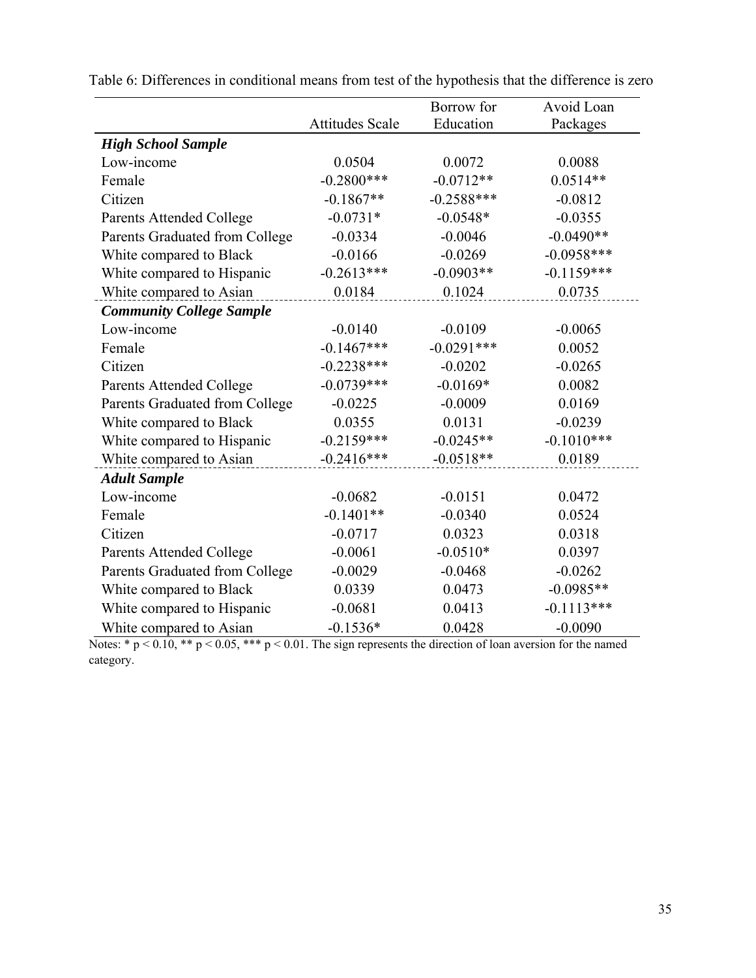|                                 |                        | Borrow for   | Avoid Loan   |
|---------------------------------|------------------------|--------------|--------------|
|                                 | <b>Attitudes Scale</b> | Education    | Packages     |
| <b>High School Sample</b>       |                        |              |              |
| Low-income                      | 0.0504                 | 0.0072       | 0.0088       |
| Female                          | $-0.2800***$           | $-0.0712**$  | $0.0514**$   |
| Citizen                         | $-0.1867**$            | $-0.2588***$ | $-0.0812$    |
| <b>Parents Attended College</b> | $-0.0731*$             | $-0.0548*$   | $-0.0355$    |
| Parents Graduated from College  | $-0.0334$              | $-0.0046$    | $-0.0490**$  |
| White compared to Black         | $-0.0166$              | $-0.0269$    | $-0.0958***$ |
| White compared to Hispanic      | $-0.2613***$           | $-0.0903**$  | $-0.1159***$ |
| White compared to Asian         | 0.0184                 | 0.1024       | 0.0735       |
| <b>Community College Sample</b> |                        |              |              |
| Low-income                      | $-0.0140$              | $-0.0109$    | $-0.0065$    |
| Female                          | $-0.1467***$           | $-0.0291***$ | 0.0052       |
| Citizen                         | $-0.2238***$           | $-0.0202$    | $-0.0265$    |
| <b>Parents Attended College</b> | $-0.0739***$           | $-0.0169*$   | 0.0082       |
| Parents Graduated from College  | $-0.0225$              | $-0.0009$    | 0.0169       |
| White compared to Black         | 0.0355                 | 0.0131       | $-0.0239$    |
| White compared to Hispanic      | $-0.2159***$           | $-0.0245**$  | $-0.1010***$ |
| White compared to Asian         | $-0.2416***$           | $-0.0518**$  | 0.0189       |
| <b>Adult Sample</b>             |                        |              |              |
| Low-income                      | $-0.0682$              | $-0.0151$    | 0.0472       |
| Female                          | $-0.1401**$            | $-0.0340$    | 0.0524       |
| Citizen                         | $-0.0717$              | 0.0323       | 0.0318       |
| Parents Attended College        | $-0.0061$              | $-0.0510*$   | 0.0397       |
| Parents Graduated from College  | $-0.0029$              | $-0.0468$    | $-0.0262$    |
| White compared to Black         | 0.0339                 | 0.0473       | $-0.0985**$  |
| White compared to Hispanic      | $-0.0681$              | 0.0413       | $-0.1113***$ |
| White compared to Asian         | $-0.1536*$             | 0.0428       | $-0.0090$    |

Table 6: Differences in conditional means from test of the hypothesis that the difference is zero

Notes:  $* p < 0.10$ ,  $** p < 0.05$ ,  $** p < 0.01$ . The sign represents the direction of loan aversion for the named category.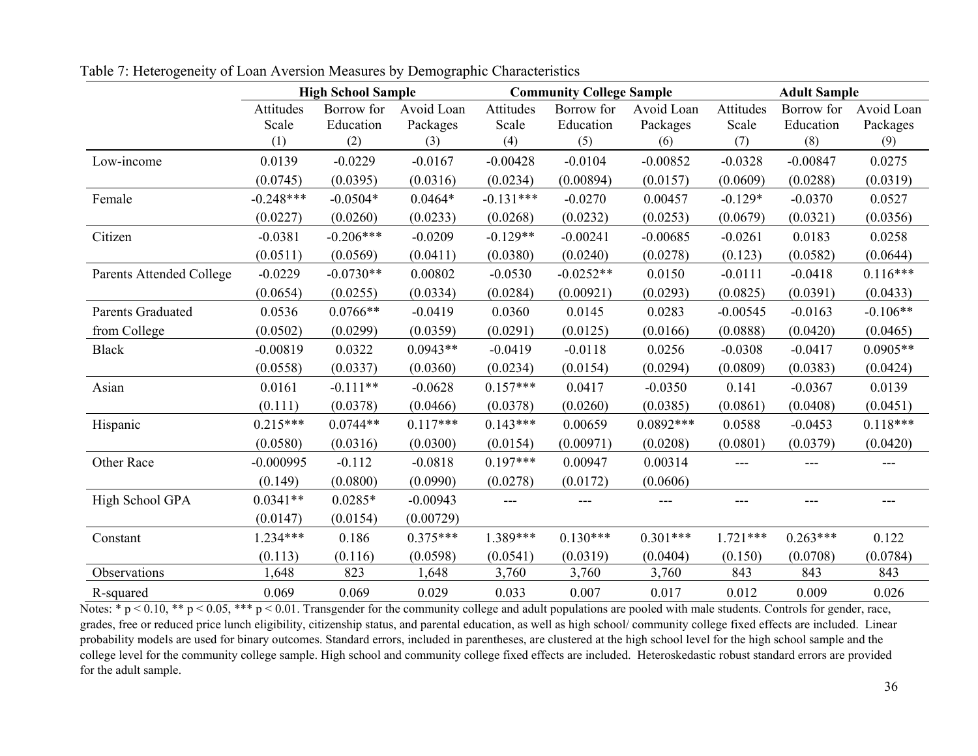|                          | <b>High School Sample</b> |             |            | <b>Community College Sample</b> |             |             | <b>Adult Sample</b> |            |            |
|--------------------------|---------------------------|-------------|------------|---------------------------------|-------------|-------------|---------------------|------------|------------|
|                          | Attitudes                 | Borrow for  | Avoid Loan | Attitudes                       | Borrow for  | Avoid Loan  | Attitudes           | Borrow for | Avoid Loan |
|                          | Scale                     | Education   | Packages   | Scale                           | Education   | Packages    | Scale               | Education  | Packages   |
|                          | (1)                       | (2)         | (3)        | (4)                             | (5)         | (6)         | (7)                 | (8)        | (9)        |
| Low-income               | 0.0139                    | $-0.0229$   | $-0.0167$  | $-0.00428$                      | $-0.0104$   | $-0.00852$  | $-0.0328$           | $-0.00847$ | 0.0275     |
|                          | (0.0745)                  | (0.0395)    | (0.0316)   | (0.0234)                        | (0.00894)   | (0.0157)    | (0.0609)            | (0.0288)   | (0.0319)   |
| Female                   | $-0.248***$               | $-0.0504*$  | $0.0464*$  | $-0.131***$                     | $-0.0270$   | 0.00457     | $-0.129*$           | $-0.0370$  | 0.0527     |
|                          | (0.0227)                  | (0.0260)    | (0.0233)   | (0.0268)                        | (0.0232)    | (0.0253)    | (0.0679)            | (0.0321)   | (0.0356)   |
| Citizen                  | $-0.0381$                 | $-0.206***$ | $-0.0209$  | $-0.129**$                      | $-0.00241$  | $-0.00685$  | $-0.0261$           | 0.0183     | 0.0258     |
|                          | (0.0511)                  | (0.0569)    | (0.0411)   | (0.0380)                        | (0.0240)    | (0.0278)    | (0.123)             | (0.0582)   | (0.0644)   |
| Parents Attended College | $-0.0229$                 | $-0.0730**$ | 0.00802    | $-0.0530$                       | $-0.0252**$ | 0.0150      | $-0.0111$           | $-0.0418$  | $0.116***$ |
|                          | (0.0654)                  | (0.0255)    | (0.0334)   | (0.0284)                        | (0.00921)   | (0.0293)    | (0.0825)            | (0.0391)   | (0.0433)   |
| Parents Graduated        | 0.0536                    | $0.0766**$  | $-0.0419$  | 0.0360                          | 0.0145      | 0.0283      | $-0.00545$          | $-0.0163$  | $-0.106**$ |
| from College             | (0.0502)                  | (0.0299)    | (0.0359)   | (0.0291)                        | (0.0125)    | (0.0166)    | (0.0888)            | (0.0420)   | (0.0465)   |
| <b>Black</b>             | $-0.00819$                | 0.0322      | $0.0943**$ | $-0.0419$                       | $-0.0118$   | 0.0256      | $-0.0308$           | $-0.0417$  | $0.0905**$ |
|                          | (0.0558)                  | (0.0337)    | (0.0360)   | (0.0234)                        | (0.0154)    | (0.0294)    | (0.0809)            | (0.0383)   | (0.0424)   |
| Asian                    | 0.0161                    | $-0.111**$  | $-0.0628$  | $0.157***$                      | 0.0417      | $-0.0350$   | 0.141               | $-0.0367$  | 0.0139     |
|                          | (0.111)                   | (0.0378)    | (0.0466)   | (0.0378)                        | (0.0260)    | (0.0385)    | (0.0861)            | (0.0408)   | (0.0451)   |
| Hispanic                 | $0.215***$                | $0.0744**$  | $0.117***$ | $0.143***$                      | 0.00659     | $0.0892***$ | 0.0588              | $-0.0453$  | $0.118***$ |
|                          | (0.0580)                  | (0.0316)    | (0.0300)   | (0.0154)                        | (0.00971)   | (0.0208)    | (0.0801)            | (0.0379)   | (0.0420)   |
| Other Race               | $-0.000995$               | $-0.112$    | $-0.0818$  | $0.197***$                      | 0.00947     | 0.00314     | ---                 | $---$      | ---        |
|                          | (0.149)                   | (0.0800)    | (0.0990)   | (0.0278)                        | (0.0172)    | (0.0606)    |                     |            |            |
| High School GPA          | $0.0341**$                | $0.0285*$   | $-0.00943$ |                                 |             | ---         |                     |            | $---$      |
|                          | (0.0147)                  | (0.0154)    | (0.00729)  |                                 |             |             |                     |            |            |
| Constant                 | $1.234***$                | 0.186       | $0.375***$ | 1.389***                        | $0.130***$  | $0.301***$  | $1.721***$          | $0.263***$ | 0.122      |
|                          | (0.113)                   | (0.116)     | (0.0598)   | (0.0541)                        | (0.0319)    | (0.0404)    | (0.150)             | (0.0708)   | (0.0784)   |
| Observations             | 1,648                     | 823         | 1,648      | 3,760                           | 3,760       | 3,760       | 843                 | 843        | 843        |
| R-squared                | 0.069                     | 0.069       | 0.029      | 0.033                           | 0.007       | 0.017       | 0.012               | 0.009      | 0.026      |

Table 7: Heterogeneity of Loan Aversion Measures by Demographic Characteristics

Notes: \*  $p$  < 0.10, \*\*  $p$  < 0.05, \*\*\*  $p$  < 0.01. Transgender for the community college and adult populations are pooled with male students. Controls for gender, race, grades, free or reduced price lunch eligibility, citizenship status, and parental education, as well as high school/ community college fixed effects are included. Linear probability models are used for binary outcomes. Standard errors, included in parentheses, are clustered at the high school level for the high school sample and the college level for the community college sample. High school and community college fixed effects are included. Heteroskedastic robust standard errors are provided for the adult sample.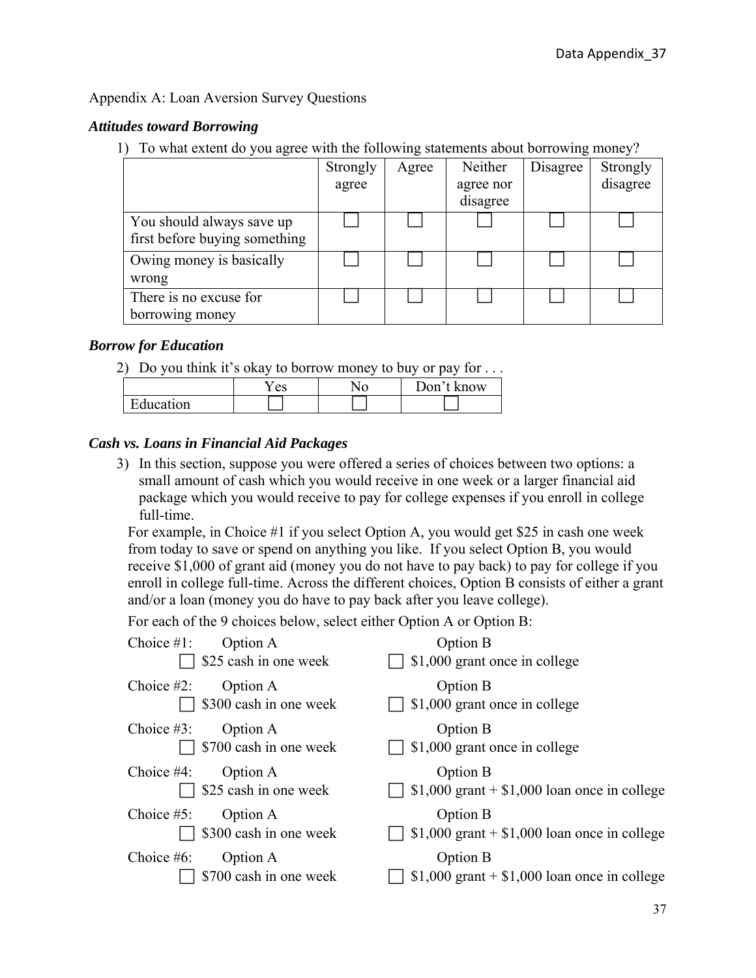# Appendix A: Loan Aversion Survey Questions

# *Attitudes toward Borrowing*

1) To what extent do you agree with the following statements about borrowing money?

|                                                            | Strongly<br>agree | Agree | Neither<br>agree nor<br>disagree | Disagree | Strongly<br>disagree |
|------------------------------------------------------------|-------------------|-------|----------------------------------|----------|----------------------|
| You should always save up<br>first before buying something |                   |       |                                  |          |                      |
| Owing money is basically<br>wrong                          |                   |       |                                  |          |                      |
| There is no excuse for<br>borrowing money                  |                   |       |                                  |          |                      |

# *Borrow for Education*

2) Do you think it's okay to borrow money to buy or pay for  $\dots$ 

|           | es | Don't<br>: know |  |
|-----------|----|-----------------|--|
| Education |    |                 |  |

# *Cash vs. Loans in Financial Aid Packages*

3) In this section, suppose you were offered a series of choices between two options: a small amount of cash which you would receive in one week or a larger financial aid package which you would receive to pay for college expenses if you enroll in college full-time.

For example, in Choice #1 if you select Option A, you would get \$25 in cash one week from today to save or spend on anything you like. If you select Option B, you would receive \$1,000 of grant aid (money you do not have to pay back) to pay for college if you enroll in college full-time. Across the different choices, Option B consists of either a grant and/or a loan (money you do have to pay back after you leave college).

For each of the 9 choices below, select either Option A or Option B:

| Choice $#1$ : | Option A<br>\$25 cash in one week  | Option B<br>\$1,000 grant once in college                  |
|---------------|------------------------------------|------------------------------------------------------------|
| Choice $#2$ : | Option A<br>\$300 cash in one week | Option B<br>\$1,000 grant once in college                  |
| Choice $#3$ : | Option A<br>\$700 cash in one week | Option B<br>\$1,000 grant once in college                  |
| Choice $#4$ : | Option A<br>\$25 cash in one week  | Option B<br>\$1,000 grant $+$ \$1,000 loan once in college |
| Choice $#5$ : | Option A<br>\$300 cash in one week | Option B<br>\$1,000 grant $+$ \$1,000 loan once in college |
| Choice $#6$ : | Option A<br>\$700 cash in one week | Option B<br>\$1,000 grant $+$ \$1,000 loan once in college |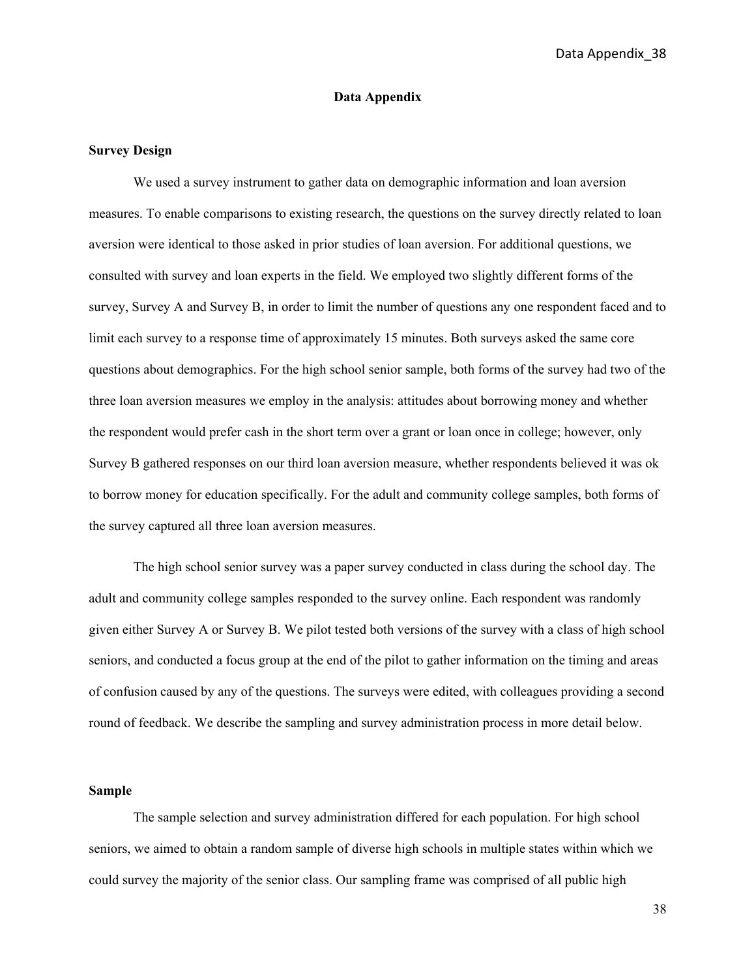Data Appendix\_38

#### **Data Appendix**

#### **Survey Design**

We used a survey instrument to gather data on demographic information and loan aversion measures. To enable comparisons to existing research, the questions on the survey directly related to loan aversion were identical to those asked in prior studies of loan aversion. For additional questions, we consulted with survey and loan experts in the field. We employed two slightly different forms of the survey, Survey A and Survey B, in order to limit the number of questions any one respondent faced and to limit each survey to a response time of approximately 15 minutes. Both surveys asked the same core questions about demographics. For the high school senior sample, both forms of the survey had two of the three loan aversion measures we employ in the analysis: attitudes about borrowing money and whether the respondent would prefer cash in the short term over a grant or loan once in college; however, only Survey B gathered responses on our third loan aversion measure, whether respondents believed it was ok to borrow money for education specifically. For the adult and community college samples, both forms of the survey captured all three loan aversion measures.

The high school senior survey was a paper survey conducted in class during the school day. The adult and community college samples responded to the survey online. Each respondent was randomly given either Survey A or Survey B. We pilot tested both versions of the survey with a class of high school seniors, and conducted a focus group at the end of the pilot to gather information on the timing and areas of confusion caused by any of the questions. The surveys were edited, with colleagues providing a second round of feedback. We describe the sampling and survey administration process in more detail below.

#### **Sample**

The sample selection and survey administration differed for each population. For high school seniors, we aimed to obtain a random sample of diverse high schools in multiple states within which we could survey the majority of the senior class. Our sampling frame was comprised of all public high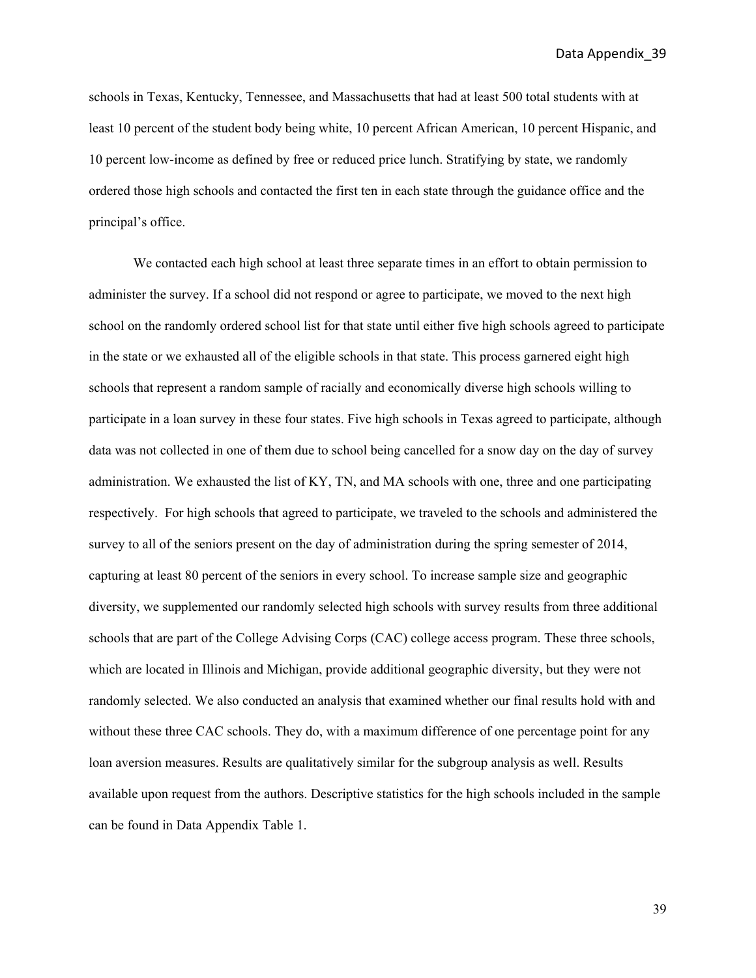Data Appendix\_39

schools in Texas, Kentucky, Tennessee, and Massachusetts that had at least 500 total students with at least 10 percent of the student body being white, 10 percent African American, 10 percent Hispanic, and 10 percent low-income as defined by free or reduced price lunch. Stratifying by state, we randomly ordered those high schools and contacted the first ten in each state through the guidance office and the principal's office.

We contacted each high school at least three separate times in an effort to obtain permission to administer the survey. If a school did not respond or agree to participate, we moved to the next high school on the randomly ordered school list for that state until either five high schools agreed to participate in the state or we exhausted all of the eligible schools in that state. This process garnered eight high schools that represent a random sample of racially and economically diverse high schools willing to participate in a loan survey in these four states. Five high schools in Texas agreed to participate, although data was not collected in one of them due to school being cancelled for a snow day on the day of survey administration. We exhausted the list of KY, TN, and MA schools with one, three and one participating respectively. For high schools that agreed to participate, we traveled to the schools and administered the survey to all of the seniors present on the day of administration during the spring semester of 2014, capturing at least 80 percent of the seniors in every school. To increase sample size and geographic diversity, we supplemented our randomly selected high schools with survey results from three additional schools that are part of the College Advising Corps (CAC) college access program. These three schools, which are located in Illinois and Michigan, provide additional geographic diversity, but they were not randomly selected. We also conducted an analysis that examined whether our final results hold with and without these three CAC schools. They do, with a maximum difference of one percentage point for any loan aversion measures. Results are qualitatively similar for the subgroup analysis as well. Results available upon request from the authors. Descriptive statistics for the high schools included in the sample can be found in Data Appendix Table 1.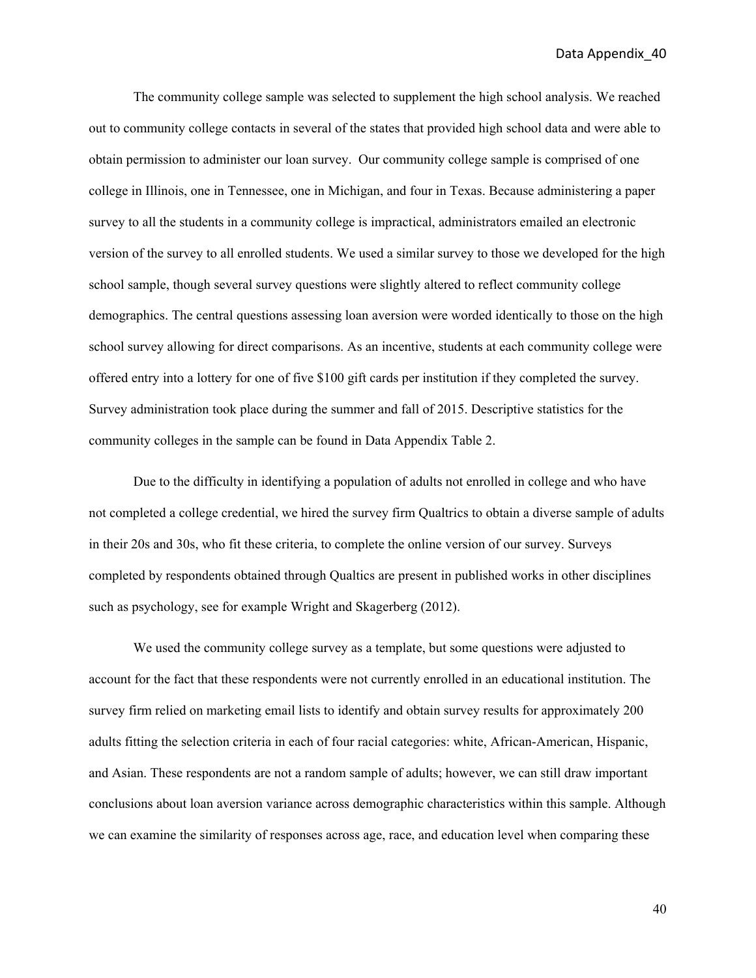Data Appendix\_40

 The community college sample was selected to supplement the high school analysis. We reached out to community college contacts in several of the states that provided high school data and were able to obtain permission to administer our loan survey. Our community college sample is comprised of one college in Illinois, one in Tennessee, one in Michigan, and four in Texas. Because administering a paper survey to all the students in a community college is impractical, administrators emailed an electronic version of the survey to all enrolled students. We used a similar survey to those we developed for the high school sample, though several survey questions were slightly altered to reflect community college demographics. The central questions assessing loan aversion were worded identically to those on the high school survey allowing for direct comparisons. As an incentive, students at each community college were offered entry into a lottery for one of five \$100 gift cards per institution if they completed the survey. Survey administration took place during the summer and fall of 2015. Descriptive statistics for the community colleges in the sample can be found in Data Appendix Table 2.

Due to the difficulty in identifying a population of adults not enrolled in college and who have not completed a college credential, we hired the survey firm Qualtrics to obtain a diverse sample of adults in their 20s and 30s, who fit these criteria, to complete the online version of our survey. Surveys completed by respondents obtained through Qualtics are present in published works in other disciplines such as psychology, see for example Wright and Skagerberg (2012).

We used the community college survey as a template, but some questions were adjusted to account for the fact that these respondents were not currently enrolled in an educational institution. The survey firm relied on marketing email lists to identify and obtain survey results for approximately 200 adults fitting the selection criteria in each of four racial categories: white, African-American, Hispanic, and Asian. These respondents are not a random sample of adults; however, we can still draw important conclusions about loan aversion variance across demographic characteristics within this sample. Although we can examine the similarity of responses across age, race, and education level when comparing these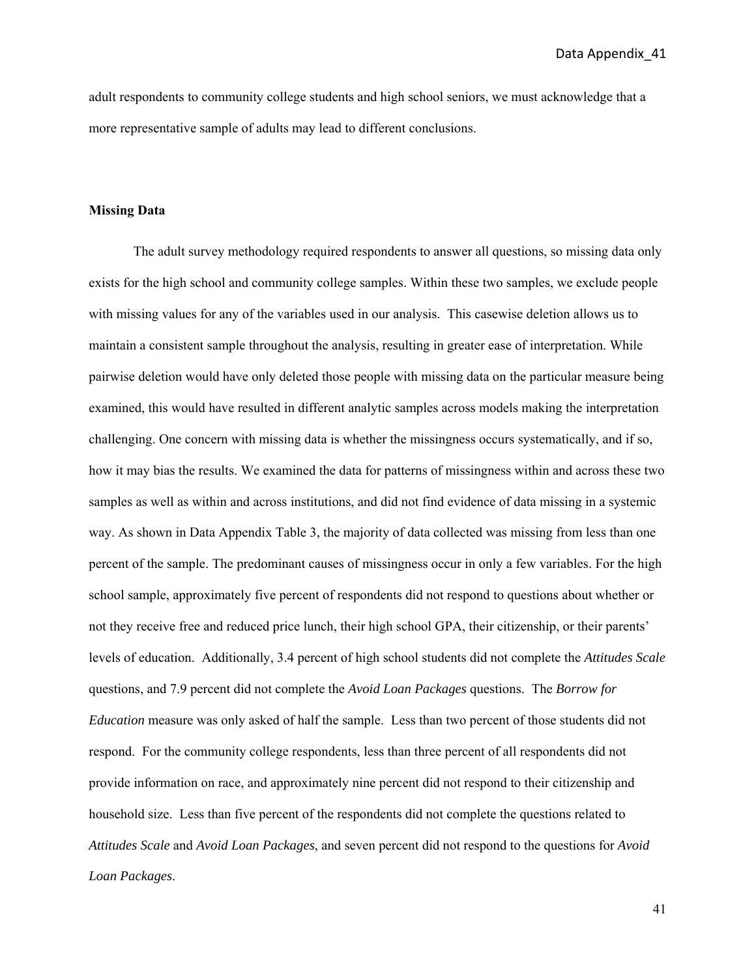adult respondents to community college students and high school seniors, we must acknowledge that a more representative sample of adults may lead to different conclusions.

#### **Missing Data**

The adult survey methodology required respondents to answer all questions, so missing data only exists for the high school and community college samples. Within these two samples, we exclude people with missing values for any of the variables used in our analysis. This casewise deletion allows us to maintain a consistent sample throughout the analysis, resulting in greater ease of interpretation. While pairwise deletion would have only deleted those people with missing data on the particular measure being examined, this would have resulted in different analytic samples across models making the interpretation challenging. One concern with missing data is whether the missingness occurs systematically, and if so, how it may bias the results. We examined the data for patterns of missingness within and across these two samples as well as within and across institutions, and did not find evidence of data missing in a systemic way. As shown in Data Appendix Table 3, the majority of data collected was missing from less than one percent of the sample. The predominant causes of missingness occur in only a few variables. For the high school sample, approximately five percent of respondents did not respond to questions about whether or not they receive free and reduced price lunch, their high school GPA, their citizenship, or their parents' levels of education. Additionally, 3.4 percent of high school students did not complete the *Attitudes Scale* questions, and 7.9 percent did not complete the *Avoid Loan Packages* questions. The *Borrow for Education* measure was only asked of half the sample. Less than two percent of those students did not respond. For the community college respondents, less than three percent of all respondents did not provide information on race, and approximately nine percent did not respond to their citizenship and household size. Less than five percent of the respondents did not complete the questions related to *Attitudes Scale* and *Avoid Loan Packages*, and seven percent did not respond to the questions for *Avoid Loan Packages*.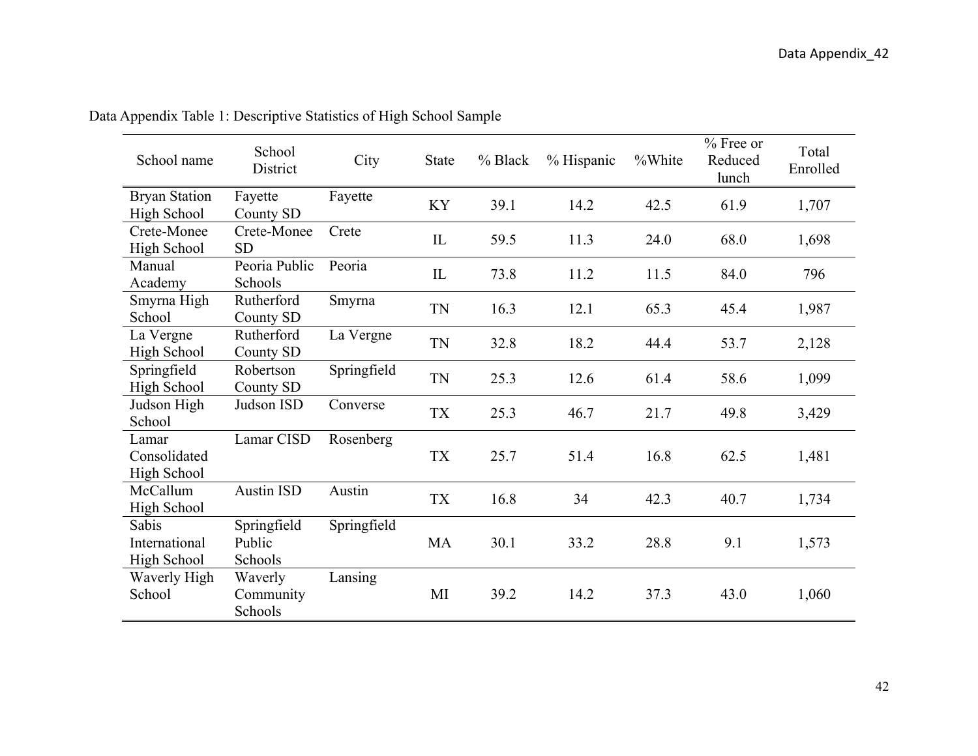| School name                                | School<br>District               | City        | <b>State</b> | % Black | % Hispanic | %White | % Free or<br>Reduced<br>lunch | Total<br>Enrolled |
|--------------------------------------------|----------------------------------|-------------|--------------|---------|------------|--------|-------------------------------|-------------------|
| <b>Bryan Station</b><br><b>High School</b> | Fayette<br>County SD             | Fayette     | KY           | 39.1    | 14.2       | 42.5   | 61.9                          | 1,707             |
| Crete-Monee<br>High School                 | Crete-Monee<br><b>SD</b>         | Crete       | IL           | 59.5    | 11.3       | 24.0   | 68.0                          | 1,698             |
| Manual<br>Academy                          | Peoria Public<br>Schools         | Peoria      | IL           | 73.8    | 11.2       | 11.5   | 84.0                          | 796               |
| Smyrna High<br>School                      | Rutherford<br>County SD          | Smyrna      | <b>TN</b>    | 16.3    | 12.1       | 65.3   | 45.4                          | 1,987             |
| La Vergne<br>High School                   | Rutherford<br>County SD          | La Vergne   | <b>TN</b>    | 32.8    | 18.2       | 44.4   | 53.7                          | 2,128             |
| Springfield<br>High School                 | Robertson<br>County SD           | Springfield | <b>TN</b>    | 25.3    | 12.6       | 61.4   | 58.6                          | 1,099             |
| Judson High<br>School                      | Judson ISD                       | Converse    | <b>TX</b>    | 25.3    | 46.7       | 21.7   | 49.8                          | 3,429             |
| Lamar<br>Consolidated<br>High School       | Lamar CISD                       | Rosenberg   | <b>TX</b>    | 25.7    | 51.4       | 16.8   | 62.5                          | 1,481             |
| McCallum<br>High School                    | <b>Austin ISD</b>                | Austin      | ${\rm TX}$   | 16.8    | 34         | 42.3   | 40.7                          | 1,734             |
| Sabis<br>International<br>High School      | Springfield<br>Public<br>Schools | Springfield | MA           | 30.1    | 33.2       | 28.8   | 9.1                           | 1,573             |
| Waverly High<br>School                     | Waverly<br>Community<br>Schools  | Lansing     | MI           | 39.2    | 14.2       | 37.3   | 43.0                          | 1,060             |

Data Appendix Table 1: Descriptive Statistics of High School Sample